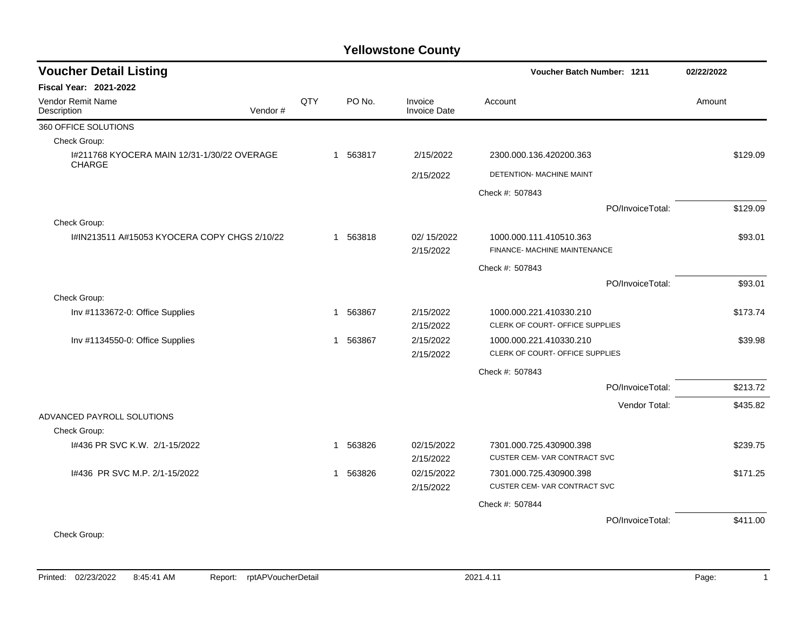| <b>Voucher Detail Listing</b>                                |         |     |             |                                | <b>Voucher Batch Number: 1211</b> |                  | 02/22/2022 |
|--------------------------------------------------------------|---------|-----|-------------|--------------------------------|-----------------------------------|------------------|------------|
| <b>Fiscal Year: 2021-2022</b>                                |         |     |             |                                |                                   |                  |            |
| Vendor Remit Name<br>Description                             | Vendor# | QTY | PO No.      | Invoice<br><b>Invoice Date</b> | Account                           |                  | Amount     |
| 360 OFFICE SOLUTIONS                                         |         |     |             |                                |                                   |                  |            |
| Check Group:                                                 |         |     |             |                                |                                   |                  |            |
| 1#211768 KYOCERA MAIN 12/31-1/30/22 OVERAGE<br><b>CHARGE</b> |         |     | 563817<br>1 | 2/15/2022                      | 2300.000.136.420200.363           |                  | \$129.09   |
|                                                              |         |     |             | 2/15/2022                      | DETENTION- MACHINE MAINT          |                  |            |
|                                                              |         |     |             |                                | Check #: 507843                   |                  |            |
|                                                              |         |     |             |                                |                                   | PO/InvoiceTotal: | \$129.09   |
| Check Group:                                                 |         |     |             |                                |                                   |                  |            |
| I#IN213511 A#15053 KYOCERA COPY CHGS 2/10/22                 |         |     | 1 563818    | 02/15/2022                     | 1000.000.111.410510.363           |                  | \$93.01    |
|                                                              |         |     |             | 2/15/2022                      | FINANCE- MACHINE MAINTENANCE      |                  |            |
|                                                              |         |     |             |                                | Check #: 507843                   |                  |            |
|                                                              |         |     |             |                                |                                   | PO/InvoiceTotal: | \$93.01    |
| Check Group:                                                 |         |     |             |                                |                                   |                  |            |
| Inv #1133672-0: Office Supplies                              |         |     | 563867<br>1 | 2/15/2022                      | 1000.000.221.410330.210           |                  | \$173.74   |
|                                                              |         |     |             | 2/15/2022                      | CLERK OF COURT- OFFICE SUPPLIES   |                  |            |
| Inv #1134550-0: Office Supplies                              |         |     | 1 563867    | 2/15/2022                      | 1000.000.221.410330.210           |                  | \$39.98    |
|                                                              |         |     |             | 2/15/2022                      | CLERK OF COURT- OFFICE SUPPLIES   |                  |            |
|                                                              |         |     |             |                                | Check #: 507843                   |                  |            |
|                                                              |         |     |             |                                |                                   | PO/InvoiceTotal: | \$213.72   |
|                                                              |         |     |             |                                |                                   | Vendor Total:    | \$435.82   |
| ADVANCED PAYROLL SOLUTIONS                                   |         |     |             |                                |                                   |                  |            |
| Check Group:                                                 |         |     |             |                                |                                   |                  |            |
| I#436 PR SVC K.W. 2/1-15/2022                                |         |     | 563826<br>1 | 02/15/2022                     | 7301.000.725.430900.398           |                  | \$239.75   |
|                                                              |         |     |             | 2/15/2022                      | CUSTER CEM-VAR CONTRACT SVC       |                  |            |
| 1#436 PR SVC M.P. 2/1-15/2022                                |         |     | 563826<br>1 | 02/15/2022                     | 7301.000.725.430900.398           |                  | \$171.25   |
|                                                              |         |     |             | 2/15/2022                      | CUSTER CEM-VAR CONTRACT SVC       |                  |            |
|                                                              |         |     |             |                                | Check #: 507844                   |                  |            |
|                                                              |         |     |             |                                |                                   | PO/InvoiceTotal: | \$411.00   |
| Check Group:                                                 |         |     |             |                                |                                   |                  |            |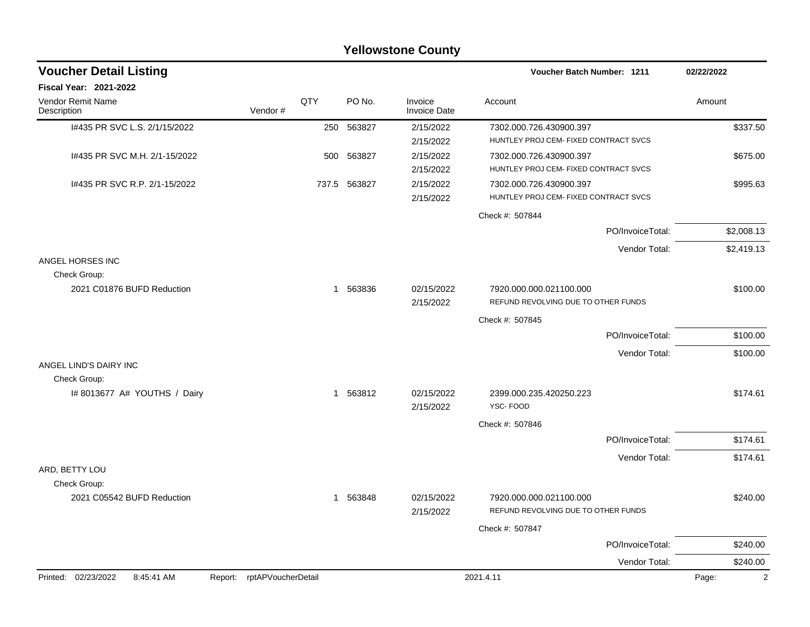|                                              |                            |             |          | <b>Yellowstone County</b>      |                                                                  |                  |            |
|----------------------------------------------|----------------------------|-------------|----------|--------------------------------|------------------------------------------------------------------|------------------|------------|
| <b>Voucher Detail Listing</b>                |                            |             |          |                                | Voucher Batch Number: 1211                                       |                  | 02/22/2022 |
| Fiscal Year: 2021-2022                       |                            |             |          |                                |                                                                  |                  |            |
| Vendor Remit Name<br>Description             | QTY<br>Vendor#             |             | PO No.   | Invoice<br><b>Invoice Date</b> | Account                                                          |                  | Amount     |
| I#435 PR SVC L.S. 2/1/15/2022                |                            | 250         | 563827   | 2/15/2022<br>2/15/2022         | 7302.000.726.430900.397<br>HUNTLEY PROJ CEM- FIXED CONTRACT SVCS |                  | \$337.50   |
| 1#435 PR SVC M.H. 2/1-15/2022                |                            | 500         | 563827   | 2/15/2022<br>2/15/2022         | 7302.000.726.430900.397<br>HUNTLEY PROJ CEM- FIXED CONTRACT SVCS |                  | \$675.00   |
| I#435 PR SVC R.P. 2/1-15/2022                |                            | 737.5       | 563827   | 2/15/2022<br>2/15/2022         | 7302.000.726.430900.397<br>HUNTLEY PROJ CEM- FIXED CONTRACT SVCS |                  | \$995.63   |
|                                              |                            |             |          |                                | Check #: 507844                                                  |                  |            |
|                                              |                            |             |          |                                |                                                                  | PO/InvoiceTotal: | \$2,008.13 |
|                                              |                            |             |          |                                |                                                                  | Vendor Total:    | \$2,419.13 |
| ANGEL HORSES INC<br>Check Group:             |                            |             |          |                                |                                                                  |                  |            |
| 2021 C01876 BUFD Reduction                   |                            | $\mathbf 1$ | 563836   | 02/15/2022<br>2/15/2022        | 7920.000.000.021100.000<br>REFUND REVOLVING DUE TO OTHER FUNDS   |                  | \$100.00   |
|                                              |                            |             |          |                                | Check #: 507845                                                  |                  |            |
|                                              |                            |             |          |                                |                                                                  | PO/InvoiceTotal: | \$100.00   |
|                                              |                            |             |          |                                |                                                                  | Vendor Total:    | \$100.00   |
| ANGEL LIND'S DAIRY INC                       |                            |             |          |                                |                                                                  |                  |            |
| Check Group:<br>I# 8013677 A# YOUTHS / Dairy |                            | $\mathbf 1$ | 563812   | 02/15/2022<br>2/15/2022        | 2399.000.235.420250.223<br>YSC-FOOD                              |                  | \$174.61   |
|                                              |                            |             |          |                                | Check #: 507846                                                  |                  |            |
|                                              |                            |             |          |                                |                                                                  | PO/InvoiceTotal: | \$174.61   |
|                                              |                            |             |          |                                |                                                                  | Vendor Total:    | \$174.61   |
| ARD, BETTY LOU                               |                            |             |          |                                |                                                                  |                  |            |
| Check Group:                                 |                            |             |          |                                |                                                                  |                  |            |
| 2021 C05542 BUFD Reduction                   |                            |             | 1 563848 | 02/15/2022<br>2/15/2022        | 7920.000.000.021100.000<br>REFUND REVOLVING DUE TO OTHER FUNDS   |                  | \$240.00   |
|                                              |                            |             |          |                                | Check #: 507847                                                  |                  |            |
|                                              |                            |             |          |                                |                                                                  | PO/InvoiceTotal: | \$240.00   |
|                                              |                            |             |          |                                |                                                                  | Vendor Total:    | \$240.00   |
| Printed: 02/23/2022<br>8:45:41 AM            | Report: rptAPVoucherDetail |             |          |                                | 2021.4.11                                                        |                  | Page:      |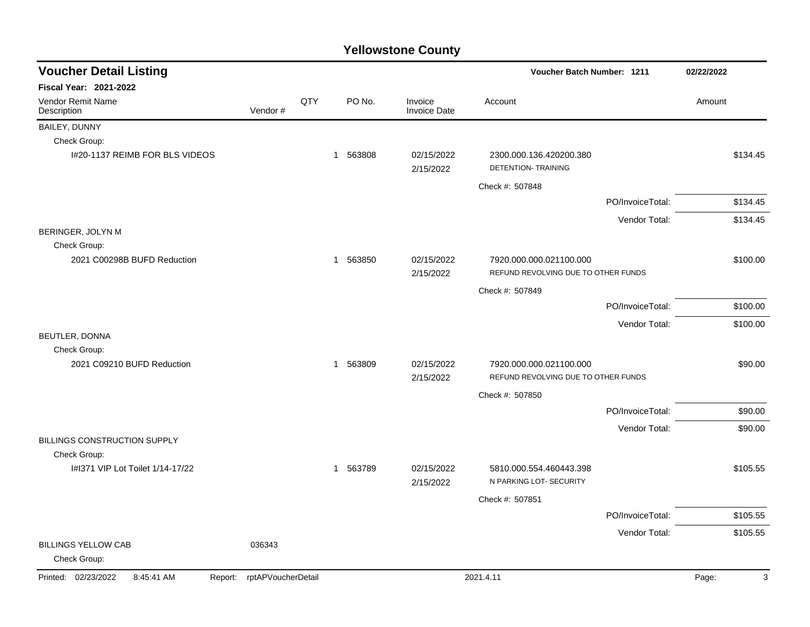| <b>Voucher Detail Listing</b>                |                    |     |          |                         | Voucher Batch Number: 1211                                     |                  | 02/22/2022 |
|----------------------------------------------|--------------------|-----|----------|-------------------------|----------------------------------------------------------------|------------------|------------|
| Fiscal Year: 2021-2022                       |                    |     |          |                         |                                                                |                  |            |
| Vendor Remit Name<br>Description             | Vendor#            | QTY | PO No.   | Invoice<br>Invoice Date | Account                                                        |                  | Amount     |
| BAILEY, DUNNY                                |                    |     |          |                         |                                                                |                  |            |
| Check Group:                                 |                    |     |          |                         |                                                                |                  |            |
| I#20-1137 REIMB FOR BLS VIDEOS               |                    |     | 1 563808 | 02/15/2022<br>2/15/2022 | 2300.000.136.420200.380<br>DETENTION- TRAINING                 |                  | \$134.45   |
|                                              |                    |     |          |                         | Check #: 507848                                                |                  |            |
|                                              |                    |     |          |                         |                                                                | PO/InvoiceTotal: | \$134.45   |
|                                              |                    |     |          |                         |                                                                | Vendor Total:    | \$134.45   |
| BERINGER, JOLYN M                            |                    |     |          |                         |                                                                |                  |            |
| Check Group:                                 |                    |     |          |                         |                                                                |                  |            |
| 2021 C00298B BUFD Reduction                  |                    |     | 1 563850 | 02/15/2022<br>2/15/2022 | 7920.000.000.021100.000<br>REFUND REVOLVING DUE TO OTHER FUNDS |                  | \$100.00   |
|                                              |                    |     |          |                         | Check #: 507849                                                |                  |            |
|                                              |                    |     |          |                         |                                                                | PO/InvoiceTotal: | \$100.00   |
|                                              |                    |     |          |                         |                                                                | Vendor Total:    | \$100.00   |
| BEUTLER, DONNA                               |                    |     |          |                         |                                                                |                  |            |
| Check Group:                                 |                    |     |          |                         |                                                                |                  |            |
| 2021 C09210 BUFD Reduction                   |                    |     | 1 563809 | 02/15/2022<br>2/15/2022 | 7920.000.000.021100.000<br>REFUND REVOLVING DUE TO OTHER FUNDS |                  | \$90.00    |
|                                              |                    |     |          |                         | Check #: 507850                                                |                  |            |
|                                              |                    |     |          |                         |                                                                | PO/InvoiceTotal: | \$90.00    |
|                                              |                    |     |          |                         |                                                                | Vendor Total:    | \$90.00    |
| BILLINGS CONSTRUCTION SUPPLY                 |                    |     |          |                         |                                                                |                  |            |
| Check Group:                                 |                    |     |          |                         |                                                                |                  |            |
| I#1371 VIP Lot Toilet 1/14-17/22             |                    |     | 1 563789 | 02/15/2022<br>2/15/2022 | 5810.000.554.460443.398<br>N PARKING LOT- SECURITY             |                  | \$105.55   |
|                                              |                    |     |          |                         | Check #: 507851                                                |                  |            |
|                                              |                    |     |          |                         |                                                                | PO/InvoiceTotal: | \$105.55   |
|                                              |                    |     |          |                         |                                                                | Vendor Total:    | \$105.55   |
| <b>BILLINGS YELLOW CAB</b><br>Check Group:   | 036343             |     |          |                         |                                                                |                  |            |
| Printed: 02/23/2022<br>8:45:41 AM<br>Report: | rptAPVoucherDetail |     |          |                         | 2021.4.11                                                      |                  | 3<br>Page: |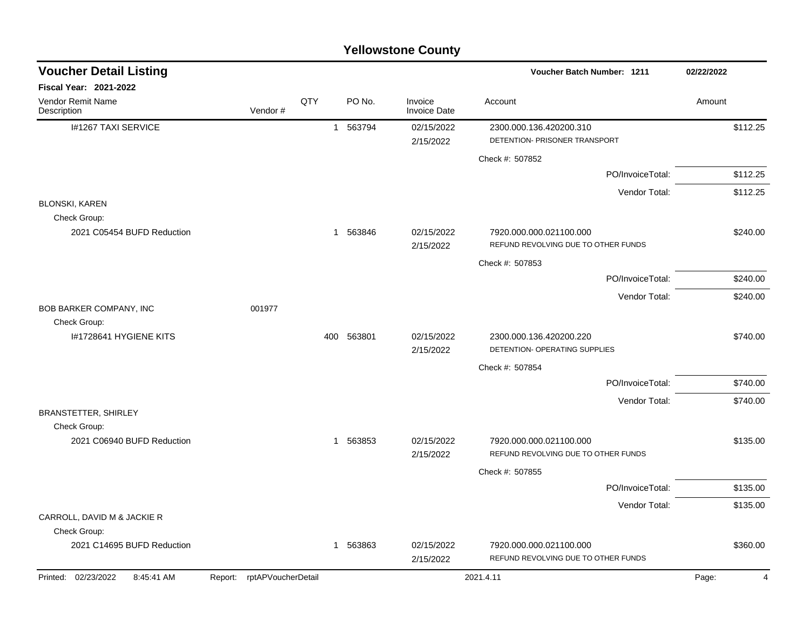|                                             |                               |     |                        | <b>I CIIOWSLUIIC COUIILY</b>   |                                                                             |            |
|---------------------------------------------|-------------------------------|-----|------------------------|--------------------------------|-----------------------------------------------------------------------------|------------|
| <b>Voucher Detail Listing</b>               |                               |     |                        |                                | Voucher Batch Number: 1211                                                  | 02/22/2022 |
| Fiscal Year: 2021-2022                      |                               |     |                        |                                |                                                                             |            |
| Vendor Remit Name<br>Description            | Vendor#                       | QTY | PO No.                 | Invoice<br><b>Invoice Date</b> | Account                                                                     | Amount     |
| I#1267 TAXI SERVICE                         |                               |     | 563794<br>$\mathbf{1}$ | 02/15/2022<br>2/15/2022        | 2300.000.136.420200.310<br>DETENTION- PRISONER TRANSPORT<br>Check #: 507852 | \$112.25   |
|                                             |                               |     |                        |                                | PO/InvoiceTotal:                                                            | \$112.25   |
|                                             |                               |     |                        |                                | Vendor Total:                                                               | \$112.25   |
| <b>BLONSKI, KAREN</b><br>Check Group:       |                               |     |                        |                                |                                                                             |            |
| 2021 C05454 BUFD Reduction                  |                               |     | 1 563846               | 02/15/2022<br>2/15/2022        | 7920.000.000.021100.000<br>REFUND REVOLVING DUE TO OTHER FUNDS              | \$240.00   |
|                                             |                               |     |                        |                                | Check #: 507853                                                             |            |
|                                             |                               |     |                        |                                | PO/InvoiceTotal:                                                            | \$240.00   |
| BOB BARKER COMPANY, INC                     | 001977                        |     |                        |                                | Vendor Total:                                                               | \$240.00   |
| Check Group:<br>I#1728641 HYGIENE KITS      |                               | 400 | 563801                 | 02/15/2022<br>2/15/2022        | 2300.000.136.420200.220<br>DETENTION- OPERATING SUPPLIES                    | \$740.00   |
|                                             |                               |     |                        |                                | Check #: 507854                                                             |            |
|                                             |                               |     |                        |                                | PO/InvoiceTotal:                                                            | \$740.00   |
|                                             |                               |     |                        |                                | Vendor Total:                                                               | \$740.00   |
| <b>BRANSTETTER, SHIRLEY</b><br>Check Group: |                               |     |                        |                                |                                                                             |            |
| 2021 C06940 BUFD Reduction                  |                               |     | 1 563853               | 02/15/2022                     | 7920.000.000.021100.000                                                     | \$135.00   |
|                                             |                               |     |                        | 2/15/2022                      | REFUND REVOLVING DUE TO OTHER FUNDS                                         |            |
|                                             |                               |     |                        |                                | Check #: 507855                                                             |            |
|                                             |                               |     |                        |                                | PO/InvoiceTotal:                                                            | \$135.00   |
| CARROLL, DAVID M & JACKIE R<br>Check Group: |                               |     |                        |                                | Vendor Total:                                                               | \$135.00   |
| 2021 C14695 BUFD Reduction                  |                               | 1   | 563863                 | 02/15/2022<br>2/15/2022        | 7920.000.000.021100.000<br>REFUND REVOLVING DUE TO OTHER FUNDS              | \$360.00   |
| Printed: 02/23/2022<br>8:45:41 AM           | rptAPVoucherDetail<br>Report: |     |                        |                                | 2021.4.11                                                                   | Page:<br>Δ |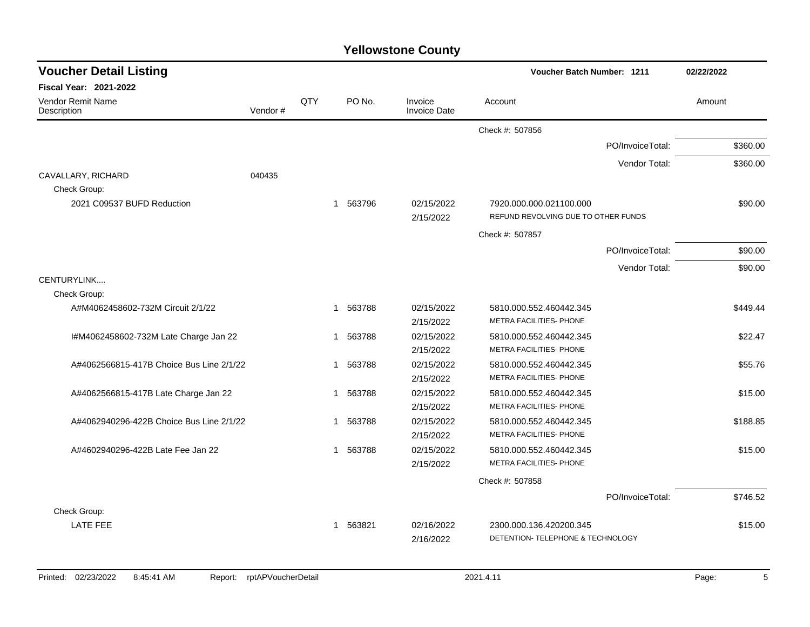| <b>Voucher Detail Listing</b>            |         |     |             |                                |                                     | <b>Voucher Batch Number: 1211</b> |        |          |
|------------------------------------------|---------|-----|-------------|--------------------------------|-------------------------------------|-----------------------------------|--------|----------|
| <b>Fiscal Year: 2021-2022</b>            |         |     |             |                                |                                     |                                   |        |          |
| Vendor Remit Name<br>Description         | Vendor# | QTY | PO No.      | Invoice<br><b>Invoice Date</b> | Account                             |                                   | Amount |          |
|                                          |         |     |             |                                | Check #: 507856                     |                                   |        |          |
|                                          |         |     |             |                                |                                     | PO/InvoiceTotal:                  |        | \$360.00 |
|                                          |         |     |             |                                |                                     | Vendor Total:                     |        | \$360.00 |
| CAVALLARY, RICHARD                       | 040435  |     |             |                                |                                     |                                   |        |          |
| Check Group:                             |         |     |             |                                |                                     |                                   |        |          |
| 2021 C09537 BUFD Reduction               |         |     | 563796<br>1 | 02/15/2022                     | 7920.000.000.021100.000             |                                   |        | \$90.00  |
|                                          |         |     |             | 2/15/2022                      | REFUND REVOLVING DUE TO OTHER FUNDS |                                   |        |          |
|                                          |         |     |             |                                | Check #: 507857                     |                                   |        |          |
|                                          |         |     |             |                                |                                     | PO/InvoiceTotal:                  |        | \$90.00  |
|                                          |         |     |             |                                |                                     | Vendor Total:                     |        | \$90.00  |
| CENTURYLINK                              |         |     |             |                                |                                     |                                   |        |          |
| Check Group:                             |         |     |             |                                |                                     |                                   |        |          |
| A#M4062458602-732M Circuit 2/1/22        |         |     | 563788<br>1 | 02/15/2022                     | 5810.000.552.460442.345             |                                   |        | \$449.44 |
|                                          |         |     |             | 2/15/2022                      | METRA FACILITIES- PHONE             |                                   |        |          |
| I#M4062458602-732M Late Charge Jan 22    |         |     | 563788<br>1 | 02/15/2022                     | 5810.000.552.460442.345             |                                   |        | \$22.47  |
|                                          |         |     |             | 2/15/2022                      | METRA FACILITIES- PHONE             |                                   |        |          |
| A#4062566815-417B Choice Bus Line 2/1/22 |         |     | 563788<br>1 | 02/15/2022                     | 5810.000.552.460442.345             |                                   |        | \$55.76  |
|                                          |         |     |             | 2/15/2022                      | METRA FACILITIES- PHONE             |                                   |        |          |
| A#4062566815-417B Late Charge Jan 22     |         |     | 563788<br>1 | 02/15/2022                     | 5810.000.552.460442.345             |                                   |        | \$15.00  |
|                                          |         |     |             | 2/15/2022                      | METRA FACILITIES- PHONE             |                                   |        |          |
| A#4062940296-422B Choice Bus Line 2/1/22 |         |     | 563788<br>1 | 02/15/2022                     | 5810.000.552.460442.345             |                                   |        | \$188.85 |
|                                          |         |     |             | 2/15/2022                      | METRA FACILITIES- PHONE             |                                   |        |          |
| A#4602940296-422B Late Fee Jan 22        |         |     | 563788<br>1 | 02/15/2022                     | 5810.000.552.460442.345             |                                   |        | \$15.00  |
|                                          |         |     |             | 2/15/2022                      | METRA FACILITIES- PHONE             |                                   |        |          |
|                                          |         |     |             |                                | Check #: 507858                     |                                   |        |          |
|                                          |         |     |             |                                |                                     | PO/InvoiceTotal:                  |        | \$746.52 |
| Check Group:                             |         |     |             |                                |                                     |                                   |        |          |
| <b>LATE FEE</b>                          |         |     | 563821<br>1 | 02/16/2022                     | 2300.000.136.420200.345             |                                   |        | \$15.00  |
|                                          |         |     |             | 2/16/2022                      | DETENTION- TELEPHONE & TECHNOLOGY   |                                   |        |          |
|                                          |         |     |             |                                |                                     |                                   |        |          |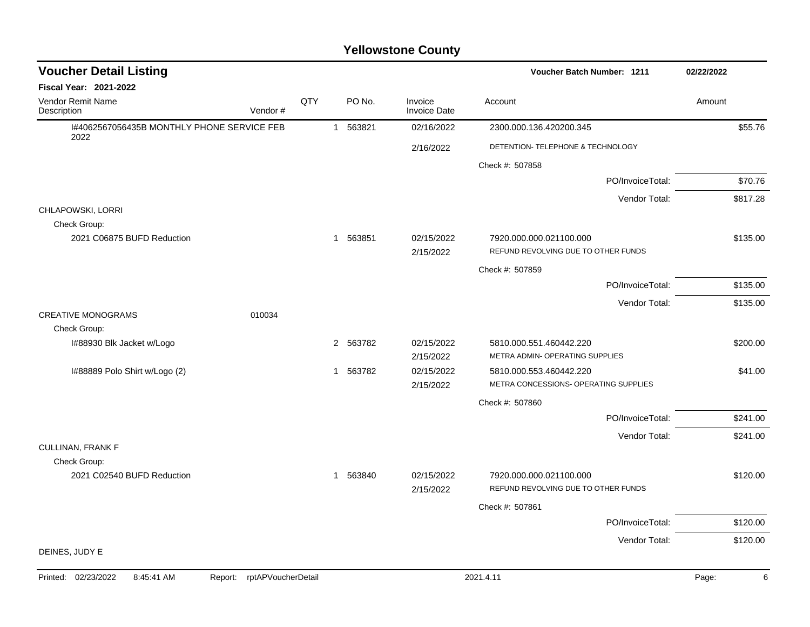| <b>Voucher Detail Listing</b>                      |                               |     |             |                                | Voucher Batch Number: 1211                                     | 02/22/2022 |
|----------------------------------------------------|-------------------------------|-----|-------------|--------------------------------|----------------------------------------------------------------|------------|
| <b>Fiscal Year: 2021-2022</b>                      |                               |     |             |                                |                                                                |            |
| <b>Vendor Remit Name</b><br>Description            | Vendor#                       | QTY | PO No.      | Invoice<br><b>Invoice Date</b> | Account                                                        | Amount     |
| I#4062567056435B MONTHLY PHONE SERVICE FEB<br>2022 |                               |     | 1 563821    | 02/16/2022                     | 2300.000.136.420200.345                                        | \$55.76    |
|                                                    |                               |     |             | 2/16/2022                      | DETENTION- TELEPHONE & TECHNOLOGY                              |            |
|                                                    |                               |     |             |                                | Check #: 507858                                                |            |
|                                                    |                               |     |             |                                | PO/InvoiceTotal:                                               | \$70.76    |
|                                                    |                               |     |             |                                | Vendor Total:                                                  | \$817.28   |
| CHLAPOWSKI, LORRI                                  |                               |     |             |                                |                                                                |            |
| Check Group:                                       |                               |     |             |                                |                                                                |            |
| 2021 C06875 BUFD Reduction                         |                               |     | 1 563851    | 02/15/2022<br>2/15/2022        | 7920.000.000.021100.000<br>REFUND REVOLVING DUE TO OTHER FUNDS | \$135.00   |
|                                                    |                               |     |             |                                | Check #: 507859                                                |            |
|                                                    |                               |     |             |                                | PO/InvoiceTotal:                                               | \$135.00   |
|                                                    |                               |     |             |                                | Vendor Total:                                                  | \$135.00   |
| <b>CREATIVE MONOGRAMS</b>                          | 010034                        |     |             |                                |                                                                |            |
| Check Group:                                       |                               |     |             |                                |                                                                |            |
| I#88930 Blk Jacket w/Logo                          |                               |     | 2 563782    | 02/15/2022                     | 5810.000.551.460442.220                                        | \$200.00   |
|                                                    |                               |     |             | 2/15/2022                      | METRA ADMIN- OPERATING SUPPLIES                                |            |
| I#88889 Polo Shirt w/Logo (2)                      |                               |     | 563782<br>1 | 02/15/2022                     | 5810.000.553.460442.220                                        | \$41.00    |
|                                                    |                               |     |             | 2/15/2022                      | METRA CONCESSIONS- OPERATING SUPPLIES                          |            |
|                                                    |                               |     |             |                                | Check #: 507860                                                |            |
|                                                    |                               |     |             |                                | PO/InvoiceTotal:                                               | \$241.00   |
|                                                    |                               |     |             |                                | Vendor Total:                                                  | \$241.00   |
| <b>CULLINAN, FRANK F</b>                           |                               |     |             |                                |                                                                |            |
| Check Group:                                       |                               |     |             |                                |                                                                |            |
| 2021 C02540 BUFD Reduction                         |                               |     | 1 563840    | 02/15/2022                     | 7920.000.000.021100.000                                        | \$120.00   |
|                                                    |                               |     |             | 2/15/2022                      | REFUND REVOLVING DUE TO OTHER FUNDS                            |            |
|                                                    |                               |     |             |                                | Check #: 507861                                                |            |
|                                                    |                               |     |             |                                | PO/InvoiceTotal:                                               | \$120.00   |
|                                                    |                               |     |             |                                | Vendor Total:                                                  | \$120.00   |
| DEINES, JUDY E                                     |                               |     |             |                                |                                                                |            |
| Printed: 02/23/2022<br>8:45:41 AM                  | rptAPVoucherDetail<br>Report: |     |             |                                | 2021.4.11                                                      | 6<br>Page: |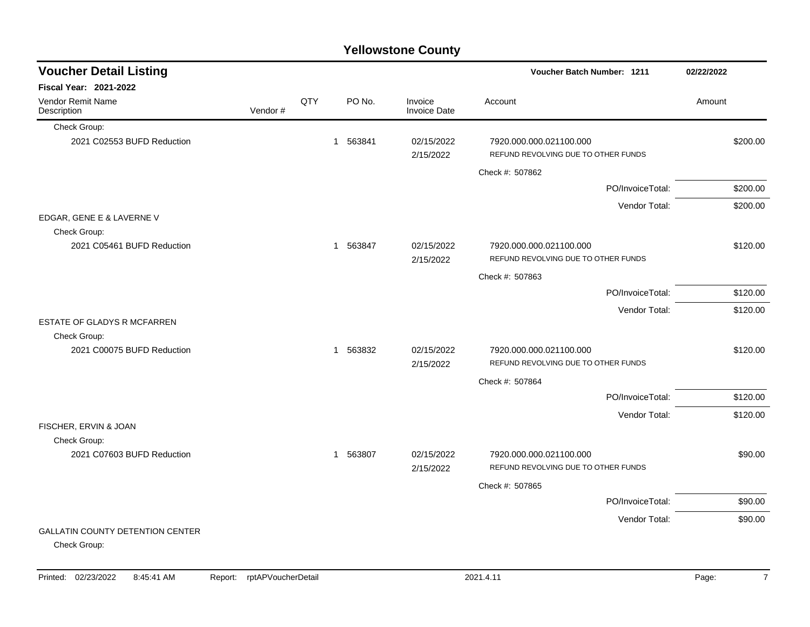| <b>Yellowstone County</b>                               |         |     |          |                                |                                                                |            |  |  |  |  |  |
|---------------------------------------------------------|---------|-----|----------|--------------------------------|----------------------------------------------------------------|------------|--|--|--|--|--|
| <b>Voucher Detail Listing</b>                           |         |     |          |                                | Voucher Batch Number: 1211                                     | 02/22/2022 |  |  |  |  |  |
| <b>Fiscal Year: 2021-2022</b>                           |         |     |          |                                |                                                                |            |  |  |  |  |  |
| Vendor Remit Name<br>Description                        | Vendor# | QTY | PO No.   | Invoice<br><b>Invoice Date</b> | Account                                                        | Amount     |  |  |  |  |  |
| Check Group:                                            |         |     |          |                                |                                                                |            |  |  |  |  |  |
| 2021 C02553 BUFD Reduction                              |         |     | 1 563841 | 02/15/2022<br>2/15/2022        | 7920.000.000.021100.000<br>REFUND REVOLVING DUE TO OTHER FUNDS | \$200.00   |  |  |  |  |  |
|                                                         |         |     |          |                                | Check #: 507862                                                |            |  |  |  |  |  |
|                                                         |         |     |          |                                | PO/InvoiceTotal:                                               | \$200.00   |  |  |  |  |  |
|                                                         |         |     |          |                                | Vendor Total:                                                  | \$200.00   |  |  |  |  |  |
| EDGAR, GENE E & LAVERNE V<br>Check Group:               |         |     |          |                                |                                                                |            |  |  |  |  |  |
| 2021 C05461 BUFD Reduction                              |         |     | 1 563847 | 02/15/2022<br>2/15/2022        | 7920.000.000.021100.000<br>REFUND REVOLVING DUE TO OTHER FUNDS | \$120.00   |  |  |  |  |  |
|                                                         |         |     |          |                                | Check #: 507863                                                |            |  |  |  |  |  |
|                                                         |         |     |          |                                | PO/InvoiceTotal:                                               | \$120.00   |  |  |  |  |  |
|                                                         |         |     |          |                                | Vendor Total:                                                  | \$120.00   |  |  |  |  |  |
| ESTATE OF GLADYS R MCFARREN                             |         |     |          |                                |                                                                |            |  |  |  |  |  |
| Check Group:                                            |         |     |          |                                |                                                                |            |  |  |  |  |  |
| 2021 C00075 BUFD Reduction                              |         |     | 1 563832 | 02/15/2022<br>2/15/2022        | 7920.000.000.021100.000<br>REFUND REVOLVING DUE TO OTHER FUNDS | \$120.00   |  |  |  |  |  |
|                                                         |         |     |          |                                | Check #: 507864                                                |            |  |  |  |  |  |
|                                                         |         |     |          |                                | PO/InvoiceTotal:                                               | \$120.00   |  |  |  |  |  |
| FISCHER, ERVIN & JOAN                                   |         |     |          |                                | Vendor Total:                                                  | \$120.00   |  |  |  |  |  |
| Check Group:                                            |         |     |          |                                |                                                                |            |  |  |  |  |  |
| 2021 C07603 BUFD Reduction                              |         |     | 1 563807 | 02/15/2022<br>2/15/2022        | 7920.000.000.021100.000<br>REFUND REVOLVING DUE TO OTHER FUNDS | \$90.00    |  |  |  |  |  |
|                                                         |         |     |          |                                | Check #: 507865                                                |            |  |  |  |  |  |
|                                                         |         |     |          |                                | PO/InvoiceTotal:                                               | \$90.00    |  |  |  |  |  |
|                                                         |         |     |          |                                | Vendor Total:                                                  | \$90.00    |  |  |  |  |  |
| <b>GALLATIN COUNTY DETENTION CENTER</b><br>Check Group: |         |     |          |                                |                                                                |            |  |  |  |  |  |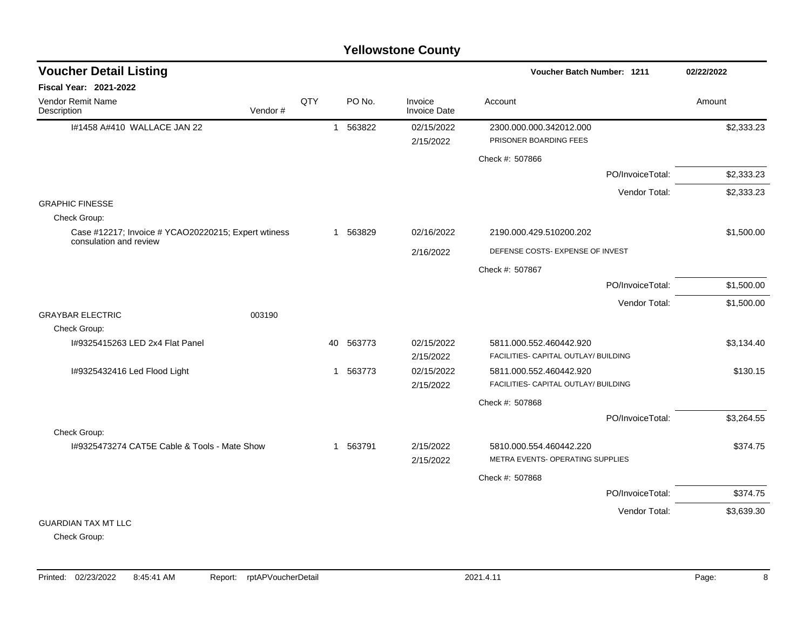| <b>Voucher Detail Listing</b>                                                 |         |     |              |          |                                | Voucher Batch Number: 1211                                      | 02/22/2022       |            |
|-------------------------------------------------------------------------------|---------|-----|--------------|----------|--------------------------------|-----------------------------------------------------------------|------------------|------------|
| <b>Fiscal Year: 2021-2022</b>                                                 |         |     |              |          |                                |                                                                 |                  |            |
| Vendor Remit Name<br>Description                                              | Vendor# | QTY |              | PO No.   | Invoice<br><b>Invoice Date</b> | Account                                                         |                  | Amount     |
| I#1458 A#410 WALLACE JAN 22                                                   |         |     |              | 1 563822 | 02/15/2022<br>2/15/2022        | 2300.000.000.342012.000<br>PRISONER BOARDING FEES               |                  | \$2,333.23 |
|                                                                               |         |     |              |          |                                | Check #: 507866                                                 |                  |            |
|                                                                               |         |     |              |          |                                |                                                                 | PO/InvoiceTotal: | \$2,333.23 |
|                                                                               |         |     |              |          |                                |                                                                 | Vendor Total:    | \$2,333.23 |
| <b>GRAPHIC FINESSE</b>                                                        |         |     |              |          |                                |                                                                 |                  |            |
| Check Group:                                                                  |         |     |              |          |                                |                                                                 |                  |            |
| Case #12217; Invoice # YCAO20220215; Expert wtiness<br>consulation and review |         |     |              | 1 563829 | 02/16/2022                     | 2190.000.429.510200.202                                         |                  | \$1,500.00 |
|                                                                               |         |     |              |          | 2/16/2022                      | DEFENSE COSTS- EXPENSE OF INVEST                                |                  |            |
|                                                                               |         |     |              |          |                                | Check #: 507867                                                 |                  |            |
|                                                                               |         |     |              |          |                                |                                                                 | PO/InvoiceTotal: | \$1,500.00 |
|                                                                               |         |     |              |          |                                |                                                                 | Vendor Total:    | \$1,500.00 |
| <b>GRAYBAR ELECTRIC</b>                                                       | 003190  |     |              |          |                                |                                                                 |                  |            |
| Check Group:<br>I#9325415263 LED 2x4 Flat Panel                               |         |     |              |          |                                |                                                                 |                  | \$3,134.40 |
|                                                                               |         |     | 40           | 563773   | 02/15/2022<br>2/15/2022        | 5811.000.552.460442.920<br>FACILITIES- CAPITAL OUTLAY/ BUILDING |                  |            |
| I#9325432416 Led Flood Light                                                  |         |     | $\mathbf{1}$ | 563773   | 02/15/2022                     | 5811.000.552.460442.920                                         |                  | \$130.15   |
|                                                                               |         |     |              |          | 2/15/2022                      | FACILITIES- CAPITAL OUTLAY/ BUILDING                            |                  |            |
|                                                                               |         |     |              |          |                                | Check #: 507868                                                 |                  |            |
|                                                                               |         |     |              |          |                                |                                                                 | PO/InvoiceTotal: | \$3,264.55 |
| Check Group:                                                                  |         |     |              |          |                                |                                                                 |                  |            |
| 1#9325473274 CAT5E Cable & Tools - Mate Show                                  |         |     |              | 1 563791 | 2/15/2022                      | 5810.000.554.460442.220                                         |                  | \$374.75   |
|                                                                               |         |     |              |          | 2/15/2022                      | METRA EVENTS- OPERATING SUPPLIES                                |                  |            |
|                                                                               |         |     |              |          |                                | Check #: 507868                                                 |                  |            |
|                                                                               |         |     |              |          |                                |                                                                 | PO/InvoiceTotal: | \$374.75   |
|                                                                               |         |     |              |          |                                |                                                                 | Vendor Total:    | \$3,639.30 |
| <b>GUARDIAN TAX MT LLC</b>                                                    |         |     |              |          |                                |                                                                 |                  |            |

Check Group: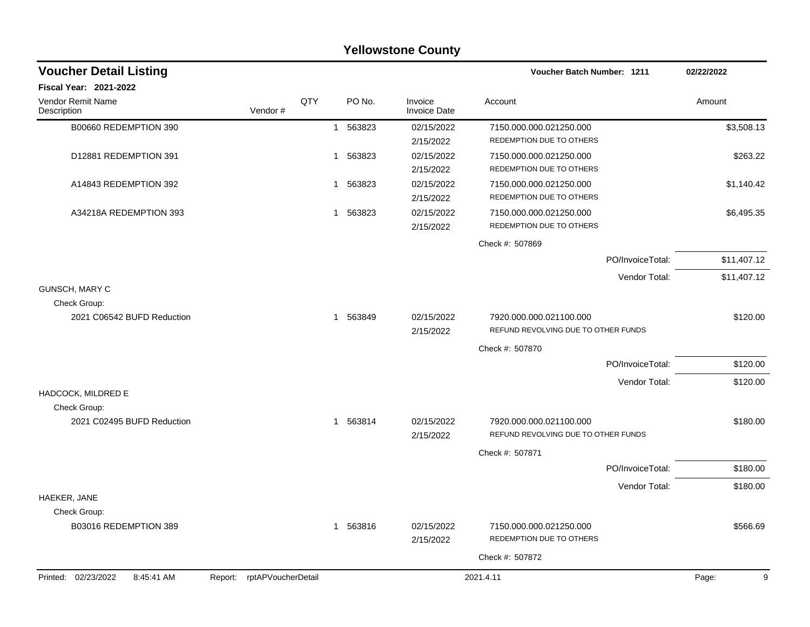|                                   |                            |     |             | <b>Yellowstone County</b>      |                                                                |                  |             |
|-----------------------------------|----------------------------|-----|-------------|--------------------------------|----------------------------------------------------------------|------------------|-------------|
| <b>Voucher Detail Listing</b>     |                            |     |             |                                | Voucher Batch Number: 1211                                     |                  | 02/22/2022  |
| <b>Fiscal Year: 2021-2022</b>     |                            |     |             |                                |                                                                |                  |             |
| Vendor Remit Name<br>Description  | Vendor#                    | QTY | PO No.      | Invoice<br><b>Invoice Date</b> | Account                                                        |                  | Amount      |
| B00660 REDEMPTION 390             |                            |     | 563823<br>1 | 02/15/2022                     | 7150.000.000.021250.000                                        |                  | \$3,508.13  |
|                                   |                            |     |             | 2/15/2022                      | REDEMPTION DUE TO OTHERS                                       |                  |             |
| D12881 REDEMPTION 391             |                            |     | 1 563823    | 02/15/2022                     | 7150.000.000.021250.000                                        |                  | \$263.22    |
|                                   |                            |     |             | 2/15/2022                      | REDEMPTION DUE TO OTHERS                                       |                  |             |
| A14843 REDEMPTION 392             |                            |     | 563823<br>1 | 02/15/2022                     | 7150.000.000.021250.000                                        |                  | \$1,140.42  |
|                                   |                            |     |             | 2/15/2022                      | REDEMPTION DUE TO OTHERS                                       |                  |             |
| A34218A REDEMPTION 393            |                            |     | 1 563823    | 02/15/2022                     | 7150.000.000.021250.000                                        |                  | \$6,495.35  |
|                                   |                            |     |             | 2/15/2022                      | REDEMPTION DUE TO OTHERS                                       |                  |             |
|                                   |                            |     |             |                                | Check #: 507869                                                |                  |             |
|                                   |                            |     |             |                                |                                                                | PO/InvoiceTotal: | \$11,407.12 |
|                                   |                            |     |             |                                |                                                                | Vendor Total:    | \$11,407.12 |
| GUNSCH, MARY C                    |                            |     |             |                                |                                                                |                  |             |
| Check Group:                      |                            |     |             |                                |                                                                |                  |             |
| 2021 C06542 BUFD Reduction        |                            |     | 1 563849    | 02/15/2022<br>2/15/2022        | 7920.000.000.021100.000<br>REFUND REVOLVING DUE TO OTHER FUNDS |                  | \$120.00    |
|                                   |                            |     |             |                                | Check #: 507870                                                |                  |             |
|                                   |                            |     |             |                                |                                                                | PO/InvoiceTotal: | \$120.00    |
|                                   |                            |     |             |                                |                                                                | Vendor Total:    | \$120.00    |
| HADCOCK, MILDRED E                |                            |     |             |                                |                                                                |                  |             |
| Check Group:                      |                            |     |             |                                |                                                                |                  |             |
| 2021 C02495 BUFD Reduction        |                            |     | 1 563814    | 02/15/2022<br>2/15/2022        | 7920.000.000.021100.000<br>REFUND REVOLVING DUE TO OTHER FUNDS |                  | \$180.00    |
|                                   |                            |     |             |                                | Check #: 507871                                                |                  |             |
|                                   |                            |     |             |                                |                                                                | PO/InvoiceTotal: | \$180.00    |
|                                   |                            |     |             |                                |                                                                | Vendor Total:    | \$180.00    |
| HAEKER, JANE                      |                            |     |             |                                |                                                                |                  |             |
| Check Group:                      |                            |     |             |                                |                                                                |                  |             |
| B03016 REDEMPTION 389             |                            |     | 1 563816    | 02/15/2022<br>2/15/2022        | 7150.000.000.021250.000<br>REDEMPTION DUE TO OTHERS            |                  | \$566.69    |
|                                   |                            |     |             |                                | Check #: 507872                                                |                  |             |
| Printed: 02/23/2022<br>8:45:41 AM | Report: rptAPVoucherDetail |     |             |                                | 2021.4.11                                                      |                  | Page:<br>9  |
|                                   |                            |     |             |                                |                                                                |                  |             |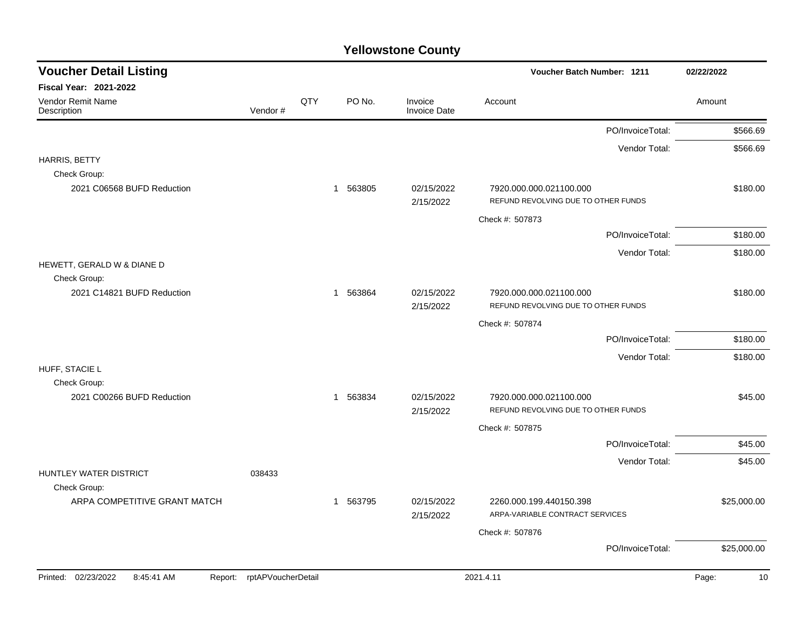| <b>Voucher Detail Listing</b>                |                    |              |          |                                | <b>Voucher Batch Number: 1211</b>                              |                  | 02/22/2022 |             |
|----------------------------------------------|--------------------|--------------|----------|--------------------------------|----------------------------------------------------------------|------------------|------------|-------------|
| <b>Fiscal Year: 2021-2022</b>                |                    |              |          |                                |                                                                |                  |            |             |
| Vendor Remit Name<br>Vendor#<br>Description  | QTY                |              | PO No.   | Invoice<br><b>Invoice Date</b> | Account                                                        |                  | Amount     |             |
|                                              |                    |              |          |                                |                                                                | PO/InvoiceTotal: |            | \$566.69    |
|                                              |                    |              |          |                                |                                                                | Vendor Total:    |            | \$566.69    |
| HARRIS, BETTY                                |                    |              |          |                                |                                                                |                  |            |             |
| Check Group:<br>2021 C06568 BUFD Reduction   |                    | $\mathbf{1}$ | 563805   | 02/15/2022                     | 7920.000.000.021100.000                                        |                  |            | \$180.00    |
|                                              |                    |              |          | 2/15/2022                      | REFUND REVOLVING DUE TO OTHER FUNDS                            |                  |            |             |
|                                              |                    |              |          |                                | Check #: 507873                                                |                  |            |             |
|                                              |                    |              |          |                                |                                                                | PO/InvoiceTotal: |            | \$180.00    |
|                                              |                    |              |          |                                |                                                                | Vendor Total:    |            | \$180.00    |
| HEWETT, GERALD W & DIANE D                   |                    |              |          |                                |                                                                |                  |            |             |
| Check Group:                                 |                    |              |          |                                |                                                                |                  |            |             |
| 2021 C14821 BUFD Reduction                   |                    | $\mathbf{1}$ | 563864   | 02/15/2022<br>2/15/2022        | 7920.000.000.021100.000<br>REFUND REVOLVING DUE TO OTHER FUNDS |                  |            | \$180.00    |
|                                              |                    |              |          |                                | Check #: 507874                                                |                  |            |             |
|                                              |                    |              |          |                                |                                                                | PO/InvoiceTotal: |            | \$180.00    |
|                                              |                    |              |          |                                |                                                                | Vendor Total:    |            | \$180.00    |
| HUFF, STACIE L                               |                    |              |          |                                |                                                                |                  |            |             |
| Check Group:                                 |                    |              |          |                                |                                                                |                  |            |             |
| 2021 C00266 BUFD Reduction                   |                    | $\mathbf{1}$ | 563834   | 02/15/2022                     | 7920.000.000.021100.000                                        |                  |            | \$45.00     |
|                                              |                    |              |          | 2/15/2022                      | REFUND REVOLVING DUE TO OTHER FUNDS                            |                  |            |             |
|                                              |                    |              |          |                                | Check #: 507875                                                |                  |            |             |
|                                              |                    |              |          |                                |                                                                | PO/InvoiceTotal: |            | \$45.00     |
| HUNTLEY WATER DISTRICT<br>038433             |                    |              |          |                                |                                                                | Vendor Total:    |            | \$45.00     |
| Check Group:                                 |                    |              |          |                                |                                                                |                  |            |             |
| ARPA COMPETITIVE GRANT MATCH                 |                    |              | 1 563795 | 02/15/2022<br>2/15/2022        | 2260.000.199.440150.398<br>ARPA-VARIABLE CONTRACT SERVICES     |                  |            | \$25,000.00 |
|                                              |                    |              |          |                                | Check #: 507876                                                |                  |            |             |
|                                              |                    |              |          |                                |                                                                | PO/InvoiceTotal: |            | \$25,000.00 |
| Printed: 02/23/2022<br>8:45:41 AM<br>Report: | rptAPVoucherDetail |              |          |                                | 2021.4.11                                                      |                  | Page:      | 10          |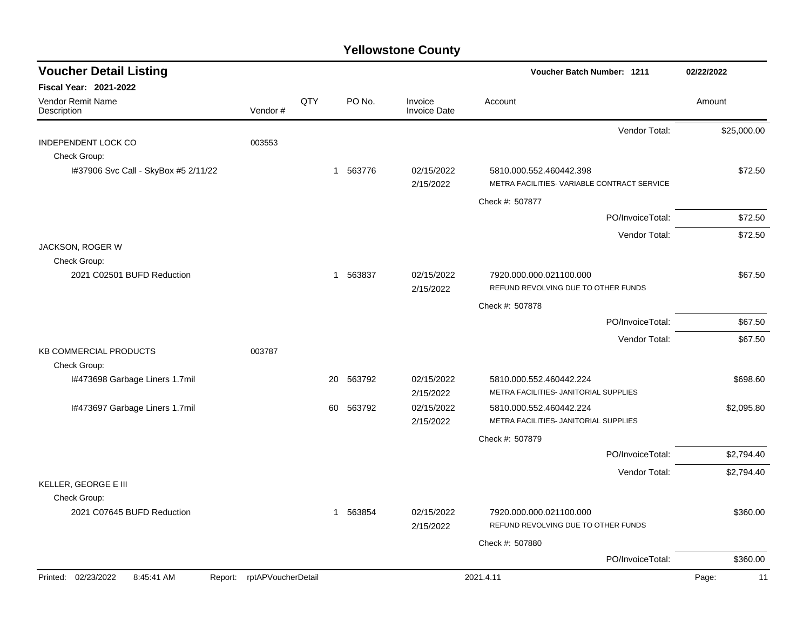| <b>Voucher Detail Listing</b>              |                            |              |          |                                | Voucher Batch Number: 1211                                             | 02/22/2022  |
|--------------------------------------------|----------------------------|--------------|----------|--------------------------------|------------------------------------------------------------------------|-------------|
| <b>Fiscal Year: 2021-2022</b>              |                            |              |          |                                |                                                                        |             |
| Vendor Remit Name<br>Description           | Vendor#                    | QTY          | PO No.   | Invoice<br><b>Invoice Date</b> | Account                                                                | Amount      |
|                                            |                            |              |          |                                | Vendor Total:                                                          | \$25,000.00 |
| <b>INDEPENDENT LOCK CO</b>                 | 003553                     |              |          |                                |                                                                        |             |
| Check Group:                               |                            |              |          |                                |                                                                        |             |
| I#37906 Svc Call - SkyBox #5 2/11/22       |                            |              | 1 563776 | 02/15/2022<br>2/15/2022        | 5810.000.552.460442.398<br>METRA FACILITIES- VARIABLE CONTRACT SERVICE | \$72.50     |
|                                            |                            |              |          |                                | Check #: 507877                                                        |             |
|                                            |                            |              |          |                                | PO/InvoiceTotal:                                                       | \$72.50     |
|                                            |                            |              |          |                                | Vendor Total:                                                          | \$72.50     |
| JACKSON, ROGER W                           |                            |              |          |                                |                                                                        |             |
| Check Group:                               |                            |              |          |                                |                                                                        |             |
| 2021 C02501 BUFD Reduction                 |                            |              | 1 563837 | 02/15/2022<br>2/15/2022        | 7920.000.000.021100.000<br>REFUND REVOLVING DUE TO OTHER FUNDS         | \$67.50     |
|                                            |                            |              |          |                                |                                                                        |             |
|                                            |                            |              |          |                                | Check #: 507878                                                        |             |
|                                            |                            |              |          |                                | PO/InvoiceTotal:                                                       | \$67.50     |
| KB COMMERCIAL PRODUCTS                     | 003787                     |              |          |                                | Vendor Total:                                                          | \$67.50     |
| Check Group:                               |                            |              |          |                                |                                                                        |             |
| I#473698 Garbage Liners 1.7mil             |                            | 20           | 563792   | 02/15/2022                     | 5810.000.552.460442.224                                                | \$698.60    |
|                                            |                            |              |          | 2/15/2022                      | METRA FACILITIES- JANITORIAL SUPPLIES                                  |             |
| I#473697 Garbage Liners 1.7mil             |                            | 60           | 563792   | 02/15/2022                     | 5810.000.552.460442.224                                                | \$2,095.80  |
|                                            |                            |              |          | 2/15/2022                      | METRA FACILITIES- JANITORIAL SUPPLIES                                  |             |
|                                            |                            |              |          |                                | Check #: 507879                                                        |             |
|                                            |                            |              |          |                                | PO/InvoiceTotal:                                                       | \$2,794.40  |
|                                            |                            |              |          |                                | Vendor Total:                                                          | \$2,794.40  |
| KELLER, GEORGE E III                       |                            |              |          |                                |                                                                        |             |
| Check Group:<br>2021 C07645 BUFD Reduction |                            | $\mathbf{1}$ | 563854   | 02/15/2022                     | 7920.000.000.021100.000                                                | \$360.00    |
|                                            |                            |              |          | 2/15/2022                      | REFUND REVOLVING DUE TO OTHER FUNDS                                    |             |
|                                            |                            |              |          |                                | Check #: 507880                                                        |             |
|                                            |                            |              |          |                                | PO/InvoiceTotal:                                                       | \$360.00    |
| Printed: 02/23/2022<br>8:45:41 AM          | Report: rptAPVoucherDetail |              |          |                                | 2021.4.11                                                              | Page:<br>11 |
|                                            |                            |              |          |                                |                                                                        |             |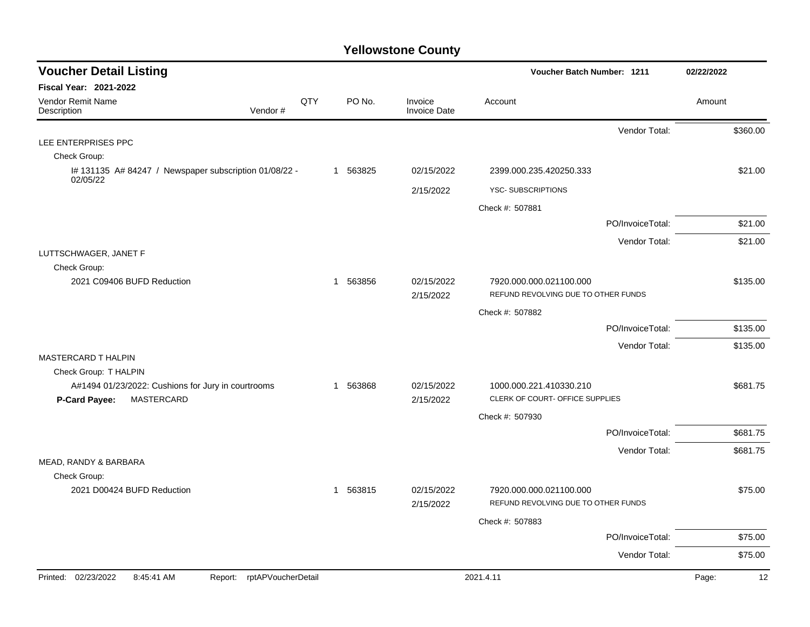| <b>Voucher Detail Listing</b>                                                            |                               |     |          |                                | <b>Voucher Batch Number: 1211</b>                              |                  | 02/22/2022  |  |
|------------------------------------------------------------------------------------------|-------------------------------|-----|----------|--------------------------------|----------------------------------------------------------------|------------------|-------------|--|
| <b>Fiscal Year: 2021-2022</b>                                                            |                               |     |          |                                |                                                                |                  |             |  |
| Vendor Remit Name<br>Description                                                         | Vendor#                       | QTY | PO No.   | Invoice<br><b>Invoice Date</b> | Account                                                        |                  | Amount      |  |
|                                                                                          |                               |     |          |                                |                                                                | Vendor Total:    | \$360.00    |  |
| LEE ENTERPRISES PPC                                                                      |                               |     |          |                                |                                                                |                  |             |  |
| Check Group:                                                                             |                               |     |          |                                |                                                                |                  |             |  |
| I# 131135 A# 84247 / Newspaper subscription 01/08/22 -<br>02/05/22                       |                               |     | 1 563825 | 02/15/2022                     | 2399.000.235.420250.333                                        |                  | \$21.00     |  |
|                                                                                          |                               |     |          | 2/15/2022                      | <b>YSC-SUBSCRIPTIONS</b>                                       |                  |             |  |
|                                                                                          |                               |     |          |                                | Check #: 507881                                                |                  |             |  |
|                                                                                          |                               |     |          |                                |                                                                | PO/InvoiceTotal: | \$21.00     |  |
|                                                                                          |                               |     |          |                                |                                                                | Vendor Total:    | \$21.00     |  |
| LUTTSCHWAGER, JANET F                                                                    |                               |     |          |                                |                                                                |                  |             |  |
| Check Group:<br>2021 C09406 BUFD Reduction                                               |                               |     | 1 563856 | 02/15/2022                     | 7920.000.000.021100.000                                        |                  | \$135.00    |  |
|                                                                                          |                               |     |          | 2/15/2022                      | REFUND REVOLVING DUE TO OTHER FUNDS                            |                  |             |  |
|                                                                                          |                               |     |          |                                | Check #: 507882                                                |                  |             |  |
|                                                                                          |                               |     |          |                                |                                                                | PO/InvoiceTotal: | \$135.00    |  |
|                                                                                          |                               |     |          |                                |                                                                | Vendor Total:    | \$135.00    |  |
| MASTERCARD T HALPIN                                                                      |                               |     |          |                                |                                                                |                  |             |  |
| Check Group: T HALPIN                                                                    |                               |     |          |                                |                                                                |                  |             |  |
| A#1494 01/23/2022: Cushions for Jury in courtrooms<br><b>MASTERCARD</b><br>P-Card Payee: |                               |     | 1 563868 | 02/15/2022<br>2/15/2022        | 1000.000.221.410330.210<br>CLERK OF COURT- OFFICE SUPPLIES     |                  | \$681.75    |  |
|                                                                                          |                               |     |          |                                | Check #: 507930                                                |                  |             |  |
|                                                                                          |                               |     |          |                                |                                                                | PO/InvoiceTotal: | \$681.75    |  |
|                                                                                          |                               |     |          |                                |                                                                | Vendor Total:    | \$681.75    |  |
| MEAD, RANDY & BARBARA                                                                    |                               |     |          |                                |                                                                |                  |             |  |
| Check Group:                                                                             |                               |     |          |                                |                                                                |                  |             |  |
| 2021 D00424 BUFD Reduction                                                               |                               |     | 1 563815 | 02/15/2022<br>2/15/2022        | 7920.000.000.021100.000<br>REFUND REVOLVING DUE TO OTHER FUNDS |                  | \$75.00     |  |
|                                                                                          |                               |     |          |                                | Check #: 507883                                                |                  |             |  |
|                                                                                          |                               |     |          |                                |                                                                | PO/InvoiceTotal: | \$75.00     |  |
|                                                                                          |                               |     |          |                                |                                                                | Vendor Total:    | \$75.00     |  |
| Printed: 02/23/2022<br>8:45:41 AM                                                        | rptAPVoucherDetail<br>Report: |     |          |                                | 2021.4.11                                                      |                  | 12<br>Page: |  |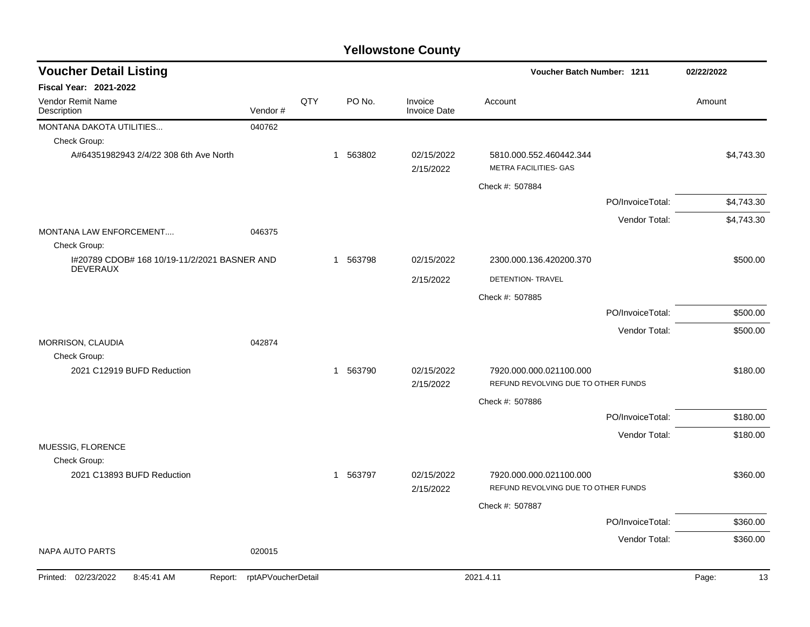| <b>Voucher Detail Listing</b><br>Voucher Batch Number: 1211     |                    | 02/22/2022 |          |                                |                                                  |                  |             |
|-----------------------------------------------------------------|--------------------|------------|----------|--------------------------------|--------------------------------------------------|------------------|-------------|
| Fiscal Year: 2021-2022                                          |                    |            |          |                                |                                                  |                  |             |
| <b>Vendor Remit Name</b><br>Description                         | Vendor#            | QTY        | PO No.   | Invoice<br><b>Invoice Date</b> | Account                                          |                  | Amount      |
| MONTANA DAKOTA UTILITIES                                        | 040762             |            |          |                                |                                                  |                  |             |
| Check Group:                                                    |                    |            |          |                                |                                                  |                  |             |
| A#64351982943 2/4/22 308 6th Ave North                          |                    |            | 1 563802 | 02/15/2022<br>2/15/2022        | 5810.000.552.460442.344<br>METRA FACILITIES- GAS |                  | \$4,743.30  |
|                                                                 |                    |            |          |                                | Check #: 507884                                  |                  |             |
|                                                                 |                    |            |          |                                |                                                  | PO/InvoiceTotal: | \$4,743.30  |
|                                                                 |                    |            |          |                                |                                                  | Vendor Total:    | \$4,743.30  |
| <b>MONTANA LAW ENFORCEMENT</b>                                  | 046375             |            |          |                                |                                                  |                  |             |
| Check Group:                                                    |                    |            |          |                                |                                                  |                  |             |
| I#20789 CDOB# 168 10/19-11/2/2021 BASNER AND<br><b>DEVERAUX</b> |                    |            | 1 563798 | 02/15/2022                     | 2300.000.136.420200.370                          |                  | \$500.00    |
|                                                                 |                    |            |          | 2/15/2022                      | DETENTION- TRAVEL                                |                  |             |
|                                                                 |                    |            |          |                                | Check #: 507885                                  |                  |             |
|                                                                 |                    |            |          |                                |                                                  | PO/InvoiceTotal: | \$500.00    |
|                                                                 |                    |            |          |                                |                                                  | Vendor Total:    | \$500.00    |
| MORRISON, CLAUDIA                                               | 042874             |            |          |                                |                                                  |                  |             |
| Check Group:                                                    |                    |            |          |                                |                                                  |                  |             |
| 2021 C12919 BUFD Reduction                                      |                    |            | 1 563790 | 02/15/2022                     | 7920.000.000.021100.000                          |                  | \$180.00    |
|                                                                 |                    |            |          | 2/15/2022                      | REFUND REVOLVING DUE TO OTHER FUNDS              |                  |             |
|                                                                 |                    |            |          |                                | Check #: 507886                                  |                  |             |
|                                                                 |                    |            |          |                                |                                                  | PO/InvoiceTotal: | \$180.00    |
|                                                                 |                    |            |          |                                |                                                  | Vendor Total:    | \$180.00    |
| MUESSIG, FLORENCE                                               |                    |            |          |                                |                                                  |                  |             |
| Check Group:<br>2021 C13893 BUFD Reduction                      |                    |            | 1 563797 | 02/15/2022                     | 7920.000.000.021100.000                          |                  | \$360.00    |
|                                                                 |                    |            |          | 2/15/2022                      | REFUND REVOLVING DUE TO OTHER FUNDS              |                  |             |
|                                                                 |                    |            |          |                                | Check #: 507887                                  |                  |             |
|                                                                 |                    |            |          |                                |                                                  | PO/InvoiceTotal: | \$360.00    |
|                                                                 |                    |            |          |                                |                                                  |                  |             |
| <b>NAPA AUTO PARTS</b>                                          | 020015             |            |          |                                |                                                  | Vendor Total:    | \$360.00    |
| Printed: 02/23/2022<br>8:45:41 AM<br>Report:                    | rptAPVoucherDetail |            |          |                                | 2021.4.11                                        |                  | Page:<br>13 |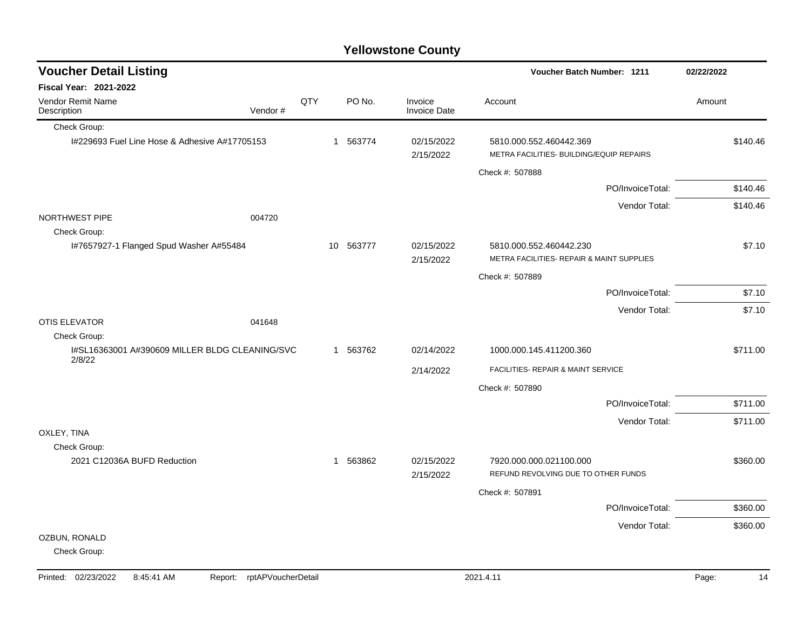| <b>Voucher Detail Listing</b>                            |         |     |           |                                | <b>Voucher Batch Number: 1211</b>                                    |                  | 02/22/2022 |          |
|----------------------------------------------------------|---------|-----|-----------|--------------------------------|----------------------------------------------------------------------|------------------|------------|----------|
| <b>Fiscal Year: 2021-2022</b>                            |         |     |           |                                |                                                                      |                  |            |          |
| Vendor Remit Name<br>Description                         | Vendor# | QTY | PO No.    | Invoice<br><b>Invoice Date</b> | Account                                                              |                  | Amount     |          |
| Check Group:                                             |         |     |           |                                |                                                                      |                  |            |          |
| I#229693 Fuel Line Hose & Adhesive A#17705153            |         |     | 1 563774  | 02/15/2022<br>2/15/2022        | 5810.000.552.460442.369<br>METRA FACILITIES- BUILDING/EQUIP REPAIRS  |                  |            | \$140.46 |
|                                                          |         |     |           |                                | Check #: 507888                                                      |                  |            |          |
|                                                          |         |     |           |                                |                                                                      | PO/InvoiceTotal: |            | \$140.46 |
|                                                          |         |     |           |                                |                                                                      | Vendor Total:    |            | \$140.46 |
| NORTHWEST PIPE                                           | 004720  |     |           |                                |                                                                      |                  |            |          |
| Check Group:                                             |         |     |           |                                |                                                                      |                  |            |          |
| I#7657927-1 Flanged Spud Washer A#55484                  |         |     | 10 563777 | 02/15/2022<br>2/15/2022        | 5810.000.552.460442.230<br>METRA FACILITIES- REPAIR & MAINT SUPPLIES |                  |            | \$7.10   |
|                                                          |         |     |           |                                | Check #: 507889                                                      |                  |            |          |
|                                                          |         |     |           |                                |                                                                      | PO/InvoiceTotal: |            | \$7.10   |
|                                                          |         |     |           |                                |                                                                      | Vendor Total:    |            | \$7.10   |
| <b>OTIS ELEVATOR</b>                                     | 041648  |     |           |                                |                                                                      |                  |            |          |
| Check Group:                                             |         |     |           |                                |                                                                      |                  |            |          |
| I#SL16363001 A#390609 MILLER BLDG CLEANING/SVC<br>2/8/22 |         |     | 1 563762  | 02/14/2022                     | 1000.000.145.411200.360                                              |                  |            | \$711.00 |
|                                                          |         |     |           | 2/14/2022                      | FACILITIES- REPAIR & MAINT SERVICE                                   |                  |            |          |
|                                                          |         |     |           |                                | Check #: 507890                                                      |                  |            |          |
|                                                          |         |     |           |                                |                                                                      | PO/InvoiceTotal: |            | \$711.00 |
|                                                          |         |     |           |                                |                                                                      | Vendor Total:    |            | \$711.00 |
| OXLEY, TINA                                              |         |     |           |                                |                                                                      |                  |            |          |
| Check Group:                                             |         |     |           |                                |                                                                      |                  |            |          |
| 2021 C12036A BUFD Reduction                              |         |     | 1 563862  | 02/15/2022<br>2/15/2022        | 7920.000.000.021100.000<br>REFUND REVOLVING DUE TO OTHER FUNDS       |                  |            | \$360.00 |
|                                                          |         |     |           |                                |                                                                      |                  |            |          |
|                                                          |         |     |           |                                | Check #: 507891                                                      |                  |            |          |
|                                                          |         |     |           |                                |                                                                      | PO/InvoiceTotal: |            | \$360.00 |
| OZBUN, RONALD                                            |         |     |           |                                |                                                                      | Vendor Total:    |            | \$360.00 |
| Check Group:                                             |         |     |           |                                |                                                                      |                  |            |          |
|                                                          |         |     |           |                                |                                                                      |                  |            |          |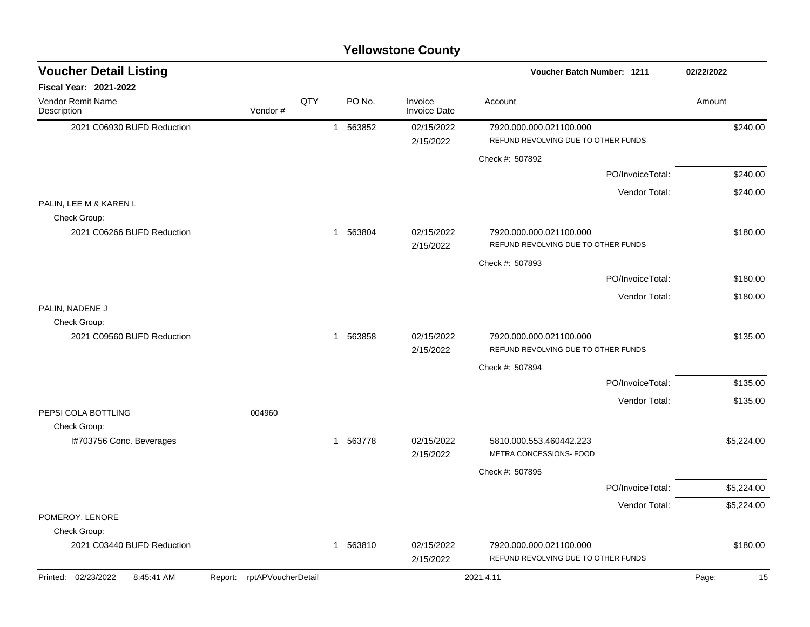|  | <b>Yellowstone County</b> |  |
|--|---------------------------|--|
|--|---------------------------|--|

| <b>Voucher Detail Listing</b>          |                            |     |                        |                                | Voucher Batch Number: 1211                                     |                  | 02/22/2022  |
|----------------------------------------|----------------------------|-----|------------------------|--------------------------------|----------------------------------------------------------------|------------------|-------------|
| <b>Fiscal Year: 2021-2022</b>          |                            |     |                        |                                |                                                                |                  |             |
| Vendor Remit Name<br>Description       | Vendor#                    | QTY | PO No.                 | Invoice<br><b>Invoice Date</b> | Account                                                        |                  | Amount      |
| 2021 C06930 BUFD Reduction             |                            |     | 1 563852               | 02/15/2022<br>2/15/2022        | 7920.000.000.021100.000<br>REFUND REVOLVING DUE TO OTHER FUNDS |                  | \$240.00    |
|                                        |                            |     |                        |                                | Check #: 507892                                                |                  |             |
|                                        |                            |     |                        |                                |                                                                | PO/InvoiceTotal: | \$240.00    |
|                                        |                            |     |                        |                                |                                                                | Vendor Total:    | \$240.00    |
| PALIN, LEE M & KAREN L<br>Check Group: |                            |     |                        |                                |                                                                |                  |             |
| 2021 C06266 BUFD Reduction             |                            |     | 1 563804               | 02/15/2022<br>2/15/2022        | 7920.000.000.021100.000<br>REFUND REVOLVING DUE TO OTHER FUNDS |                  | \$180.00    |
|                                        |                            |     |                        |                                | Check #: 507893                                                |                  |             |
|                                        |                            |     |                        |                                |                                                                | PO/InvoiceTotal: | \$180.00    |
|                                        |                            |     |                        |                                |                                                                | Vendor Total:    | \$180.00    |
| PALIN, NADENE J<br>Check Group:        |                            |     |                        |                                |                                                                |                  |             |
| 2021 C09560 BUFD Reduction             |                            |     | 1 563858               | 02/15/2022<br>2/15/2022        | 7920.000.000.021100.000<br>REFUND REVOLVING DUE TO OTHER FUNDS |                  | \$135.00    |
|                                        |                            |     |                        |                                | Check #: 507894                                                |                  |             |
|                                        |                            |     |                        |                                |                                                                | PO/InvoiceTotal: | \$135.00    |
|                                        |                            |     |                        |                                |                                                                | Vendor Total:    | \$135.00    |
| PEPSI COLA BOTTLING<br>Check Group:    | 004960                     |     |                        |                                |                                                                |                  |             |
| I#703756 Conc. Beverages               |                            |     | 563778<br>$\mathbf{1}$ | 02/15/2022<br>2/15/2022        | 5810.000.553.460442.223<br>METRA CONCESSIONS- FOOD             |                  | \$5,224.00  |
|                                        |                            |     |                        |                                | Check #: 507895                                                |                  |             |
|                                        |                            |     |                        |                                |                                                                | PO/InvoiceTotal: | \$5,224.00  |
|                                        |                            |     |                        |                                |                                                                | Vendor Total:    | \$5,224.00  |
| POMEROY, LENORE                        |                            |     |                        |                                |                                                                |                  |             |
| Check Group:                           |                            |     |                        |                                |                                                                |                  |             |
| 2021 C03440 BUFD Reduction             |                            |     | 563810<br>$\mathbf{1}$ | 02/15/2022<br>2/15/2022        | 7920.000.000.021100.000<br>REFUND REVOLVING DUE TO OTHER FUNDS |                  | \$180.00    |
| Printed: 02/23/2022<br>8:45:41 AM      | Report: rptAPVoucherDetail |     |                        |                                | 2021.4.11                                                      |                  | 15<br>Page: |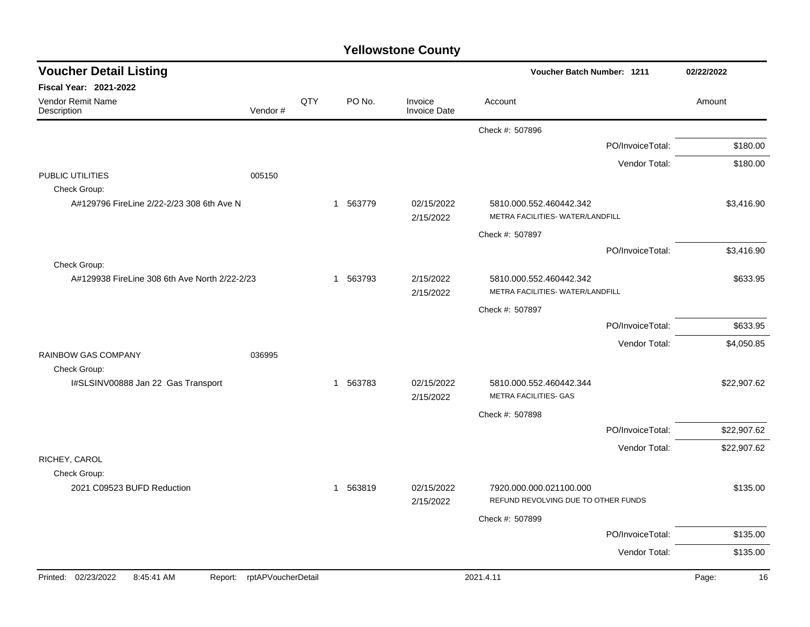|  | <b>Yellowstone County</b> |  |
|--|---------------------------|--|
|--|---------------------------|--|

| <b>Voucher Detail Listing</b>                 |                    |     |          |                                | Voucher Batch Number: 1211                                  |                  | 02/22/2022  |
|-----------------------------------------------|--------------------|-----|----------|--------------------------------|-------------------------------------------------------------|------------------|-------------|
| <b>Fiscal Year: 2021-2022</b>                 |                    |     |          |                                |                                                             |                  |             |
| <b>Vendor Remit Name</b><br>Description       | Vendor#            | QTY | PO No.   | Invoice<br><b>Invoice Date</b> | Account                                                     |                  | Amount      |
|                                               |                    |     |          |                                | Check #: 507896                                             |                  |             |
|                                               |                    |     |          |                                |                                                             | PO/InvoiceTotal: | \$180.00    |
|                                               |                    |     |          |                                |                                                             | Vendor Total:    | \$180.00    |
| PUBLIC UTILITIES<br>005150                    |                    |     |          |                                |                                                             |                  |             |
| Check Group:                                  |                    |     |          |                                |                                                             |                  |             |
| A#129796 FireLine 2/22-2/23 308 6th Ave N     |                    |     | 1 563779 | 02/15/2022<br>2/15/2022        | 5810.000.552.460442.342<br>METRA FACILITIES- WATER/LANDFILL |                  | \$3,416.90  |
|                                               |                    |     |          |                                | Check #: 507897                                             |                  |             |
|                                               |                    |     |          |                                |                                                             | PO/InvoiceTotal: | \$3,416.90  |
| Check Group:                                  |                    |     |          |                                |                                                             |                  |             |
| A#129938 FireLine 308 6th Ave North 2/22-2/23 |                    |     | 1 563793 | 2/15/2022<br>2/15/2022         | 5810.000.552.460442.342<br>METRA FACILITIES- WATER/LANDFILL |                  | \$633.95    |
|                                               |                    |     |          |                                | Check #: 507897                                             |                  |             |
|                                               |                    |     |          |                                |                                                             | PO/InvoiceTotal: | \$633.95    |
|                                               |                    |     |          |                                |                                                             | Vendor Total:    | \$4,050.85  |
| <b>RAINBOW GAS COMPANY</b><br>036995          |                    |     |          |                                |                                                             |                  |             |
| Check Group:                                  |                    |     |          |                                |                                                             |                  |             |
| I#SLSINV00888 Jan 22 Gas Transport            |                    | -1  | 563783   | 02/15/2022<br>2/15/2022        | 5810.000.552.460442.344<br>METRA FACILITIES- GAS            |                  | \$22,907.62 |
|                                               |                    |     |          |                                | Check #: 507898                                             |                  |             |
|                                               |                    |     |          |                                |                                                             | PO/InvoiceTotal: | \$22,907.62 |
|                                               |                    |     |          |                                |                                                             | Vendor Total:    | \$22,907.62 |
| RICHEY, CAROL                                 |                    |     |          |                                |                                                             |                  |             |
| Check Group:                                  |                    |     |          |                                |                                                             |                  |             |
| 2021 C09523 BUFD Reduction                    |                    |     | 1 563819 | 02/15/2022                     | 7920.000.000.021100.000                                     |                  | \$135.00    |
|                                               |                    |     |          | 2/15/2022                      | REFUND REVOLVING DUE TO OTHER FUNDS                         |                  |             |
|                                               |                    |     |          |                                | Check #: 507899                                             |                  |             |
|                                               |                    |     |          |                                |                                                             | PO/InvoiceTotal: | \$135.00    |
|                                               |                    |     |          |                                |                                                             | Vendor Total:    | \$135.00    |
| Printed: 02/23/2022<br>8:45:41 AM<br>Report:  | rptAPVoucherDetail |     |          |                                | 2021.4.11                                                   |                  | Page:<br>16 |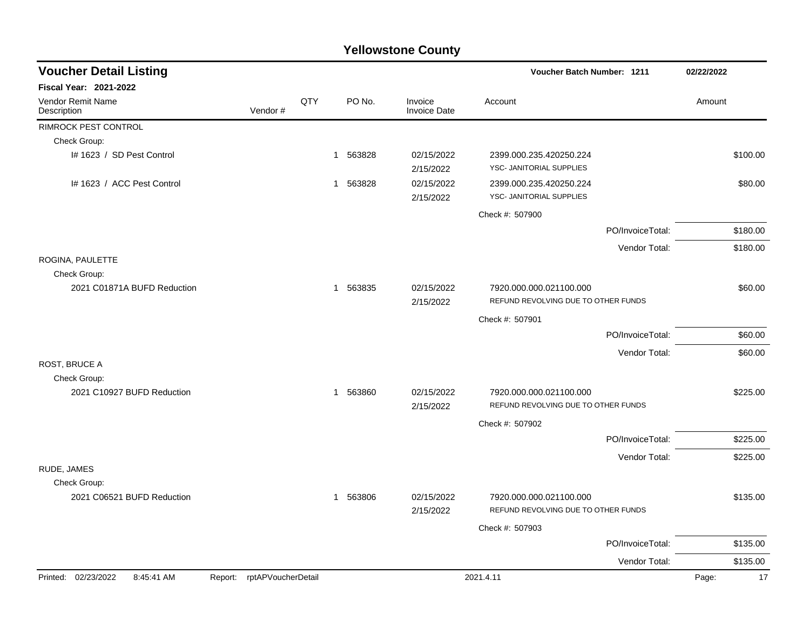| <b>Voucher Detail Listing</b>     |                               |     | Voucher Batch Number: 1211 |                                |                                                                |                  |             |
|-----------------------------------|-------------------------------|-----|----------------------------|--------------------------------|----------------------------------------------------------------|------------------|-------------|
| Fiscal Year: 2021-2022            |                               |     |                            |                                |                                                                |                  |             |
| Vendor Remit Name<br>Description  | Vendor#                       | QTY | PO No.                     | Invoice<br><b>Invoice Date</b> | Account                                                        |                  | Amount      |
| <b>RIMROCK PEST CONTROL</b>       |                               |     |                            |                                |                                                                |                  |             |
| Check Group:                      |                               |     |                            |                                |                                                                |                  |             |
| I# 1623 / SD Pest Control         |                               |     | 1 563828                   | 02/15/2022<br>2/15/2022        | 2399.000.235.420250.224<br>YSC- JANITORIAL SUPPLIES            |                  | \$100.00    |
| I# 1623 / ACC Pest Control        |                               |     | 1 563828                   | 02/15/2022<br>2/15/2022        | 2399.000.235.420250.224<br>YSC- JANITORIAL SUPPLIES            |                  | \$80.00     |
|                                   |                               |     |                            |                                | Check #: 507900                                                |                  |             |
|                                   |                               |     |                            |                                |                                                                | PO/InvoiceTotal: | \$180.00    |
|                                   |                               |     |                            |                                |                                                                | Vendor Total:    | \$180.00    |
| ROGINA, PAULETTE<br>Check Group:  |                               |     |                            |                                |                                                                |                  |             |
| 2021 C01871A BUFD Reduction       |                               |     | 1 563835                   | 02/15/2022<br>2/15/2022        | 7920.000.000.021100.000<br>REFUND REVOLVING DUE TO OTHER FUNDS |                  | \$60.00     |
|                                   |                               |     |                            |                                | Check #: 507901                                                |                  |             |
|                                   |                               |     |                            |                                |                                                                | PO/InvoiceTotal: | \$60.00     |
|                                   |                               |     |                            |                                |                                                                | Vendor Total:    | \$60.00     |
| ROST, BRUCE A                     |                               |     |                            |                                |                                                                |                  |             |
| Check Group:                      |                               |     |                            |                                |                                                                |                  |             |
| 2021 C10927 BUFD Reduction        |                               |     | 1 563860                   | 02/15/2022                     | 7920.000.000.021100.000                                        |                  | \$225.00    |
|                                   |                               |     |                            | 2/15/2022                      | REFUND REVOLVING DUE TO OTHER FUNDS                            |                  |             |
|                                   |                               |     |                            |                                | Check #: 507902                                                |                  |             |
|                                   |                               |     |                            |                                |                                                                | PO/InvoiceTotal: | \$225.00    |
|                                   |                               |     |                            |                                |                                                                | Vendor Total:    | \$225.00    |
| RUDE, JAMES                       |                               |     |                            |                                |                                                                |                  |             |
| Check Group:                      |                               |     |                            |                                |                                                                |                  |             |
| 2021 C06521 BUFD Reduction        |                               |     | 1 563806                   | 02/15/2022<br>2/15/2022        | 7920.000.000.021100.000<br>REFUND REVOLVING DUE TO OTHER FUNDS |                  | \$135.00    |
|                                   |                               |     |                            |                                | Check #: 507903                                                |                  |             |
|                                   |                               |     |                            |                                |                                                                | PO/InvoiceTotal: | \$135.00    |
|                                   |                               |     |                            |                                |                                                                | Vendor Total:    | \$135.00    |
| Printed: 02/23/2022<br>8:45:41 AM | rptAPVoucherDetail<br>Report: |     |                            |                                | 2021.4.11                                                      |                  | 17<br>Page: |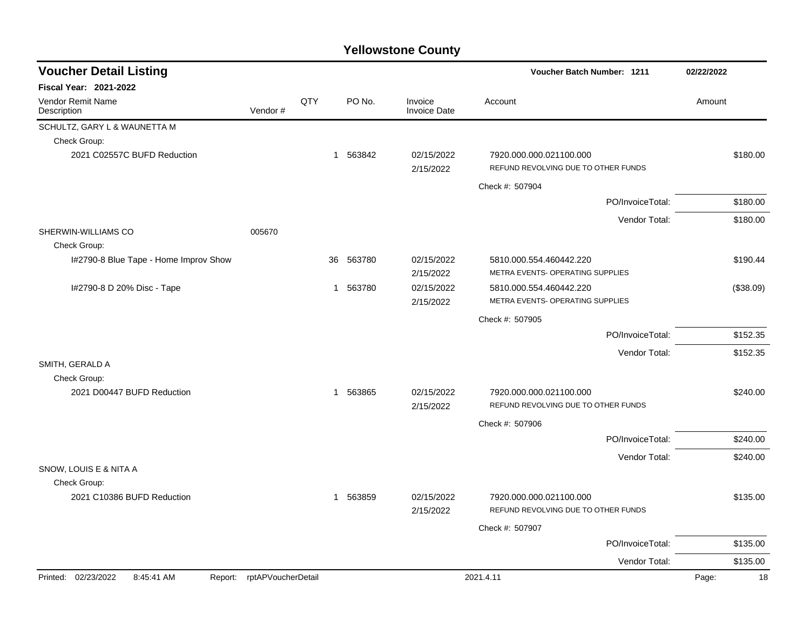| <b>Voucher Detail Listing</b>         |                            |     |          |        |                                | Voucher Batch Number: 1211                                     | 02/22/2022  |
|---------------------------------------|----------------------------|-----|----------|--------|--------------------------------|----------------------------------------------------------------|-------------|
| <b>Fiscal Year: 2021-2022</b>         |                            |     |          |        |                                |                                                                |             |
| Vendor Remit Name<br>Description      | Vendor#                    | QTY |          | PO No. | Invoice<br><b>Invoice Date</b> | Account                                                        | Amount      |
| SCHULTZ, GARY L & WAUNETTA M          |                            |     |          |        |                                |                                                                |             |
| Check Group:                          |                            |     |          |        |                                |                                                                |             |
| 2021 C02557C BUFD Reduction           |                            |     | 1 563842 |        | 02/15/2022<br>2/15/2022        | 7920.000.000.021100.000<br>REFUND REVOLVING DUE TO OTHER FUNDS | \$180.00    |
|                                       |                            |     |          |        |                                | Check #: 507904                                                |             |
|                                       |                            |     |          |        |                                | PO/InvoiceTotal:                                               | \$180.00    |
|                                       |                            |     |          |        |                                | Vendor Total:                                                  | \$180.00    |
| SHERWIN-WILLIAMS CO<br>Check Group:   | 005670                     |     |          |        |                                |                                                                |             |
| I#2790-8 Blue Tape - Home Improv Show |                            |     | 36       | 563780 | 02/15/2022<br>2/15/2022        | 5810.000.554.460442.220<br>METRA EVENTS- OPERATING SUPPLIES    | \$190.44    |
| I#2790-8 D 20% Disc - Tape            |                            |     | 1 563780 |        | 02/15/2022<br>2/15/2022        | 5810.000.554.460442.220<br>METRA EVENTS- OPERATING SUPPLIES    | (\$38.09)   |
|                                       |                            |     |          |        |                                | Check #: 507905                                                |             |
|                                       |                            |     |          |        |                                | PO/InvoiceTotal:                                               | \$152.35    |
|                                       |                            |     |          |        |                                | Vendor Total:                                                  | \$152.35    |
| SMITH, GERALD A                       |                            |     |          |        |                                |                                                                |             |
| Check Group:                          |                            |     |          |        |                                |                                                                |             |
| 2021 D00447 BUFD Reduction            |                            |     | 1 563865 |        | 02/15/2022                     | 7920.000.000.021100.000                                        | \$240.00    |
|                                       |                            |     |          |        | 2/15/2022                      | REFUND REVOLVING DUE TO OTHER FUNDS                            |             |
|                                       |                            |     |          |        |                                | Check #: 507906                                                |             |
|                                       |                            |     |          |        |                                | PO/InvoiceTotal:                                               | \$240.00    |
|                                       |                            |     |          |        |                                | Vendor Total:                                                  | \$240.00    |
| SNOW, LOUIS E & NITA A                |                            |     |          |        |                                |                                                                |             |
| Check Group:                          |                            |     |          |        |                                |                                                                |             |
| 2021 C10386 BUFD Reduction            |                            |     | 1 563859 |        | 02/15/2022<br>2/15/2022        | 7920.000.000.021100.000<br>REFUND REVOLVING DUE TO OTHER FUNDS | \$135.00    |
|                                       |                            |     |          |        |                                | Check #: 507907                                                |             |
|                                       |                            |     |          |        |                                | PO/InvoiceTotal:                                               | \$135.00    |
|                                       |                            |     |          |        |                                | Vendor Total:                                                  | \$135.00    |
| Printed: 02/23/2022<br>8:45:41 AM     | Report: rptAPVoucherDetail |     |          |        |                                | 2021.4.11                                                      | Page:<br>18 |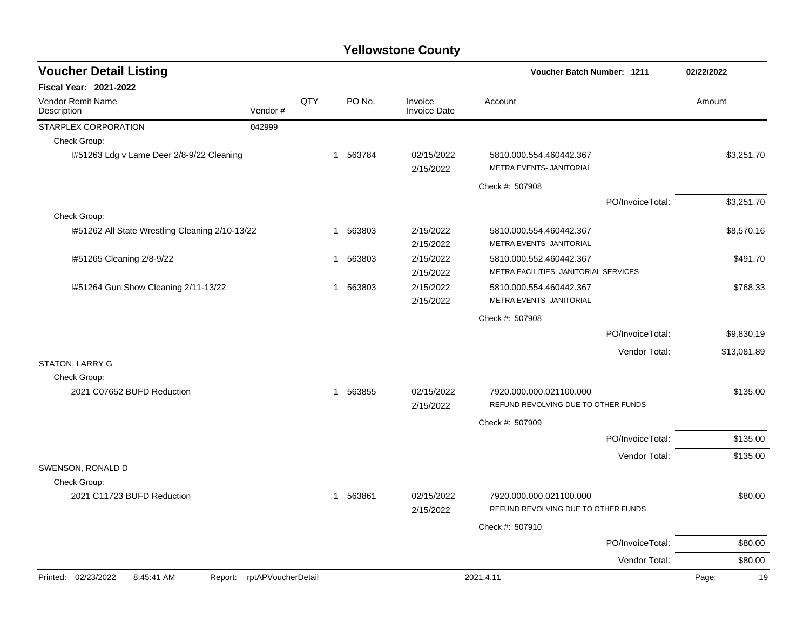| <b>Voucher Detail Listing</b>                   |                            |     |             |                                | Voucher Batch Number: 1211                                       |                  | 02/22/2022  |
|-------------------------------------------------|----------------------------|-----|-------------|--------------------------------|------------------------------------------------------------------|------------------|-------------|
| Fiscal Year: 2021-2022                          |                            |     |             |                                |                                                                  |                  |             |
| Vendor Remit Name<br>Description                | Vendor#                    | QTY | PO No.      | Invoice<br><b>Invoice Date</b> | Account                                                          |                  | Amount      |
| STARPLEX CORPORATION                            | 042999                     |     |             |                                |                                                                  |                  |             |
| Check Group:                                    |                            |     |             |                                |                                                                  |                  |             |
| I#51263 Ldg v Lame Deer 2/8-9/22 Cleaning       |                            |     | 1 563784    | 02/15/2022<br>2/15/2022        | 5810.000.554.460442.367<br>METRA EVENTS- JANITORIAL              |                  | \$3,251.70  |
|                                                 |                            |     |             |                                | Check #: 507908                                                  |                  |             |
|                                                 |                            |     |             |                                |                                                                  | PO/InvoiceTotal: | \$3,251.70  |
| Check Group:                                    |                            |     |             |                                |                                                                  |                  |             |
| I#51262 All State Wrestling Cleaning 2/10-13/22 |                            |     | 563803<br>1 | 2/15/2022                      | 5810.000.554.460442.367<br>METRA EVENTS- JANITORIAL              |                  | \$8,570.16  |
|                                                 |                            |     | 1 563803    | 2/15/2022<br>2/15/2022         |                                                                  |                  | \$491.70    |
| I#51265 Cleaning 2/8-9/22                       |                            |     |             | 2/15/2022                      | 5810.000.552.460442.367<br>METRA FACILITIES- JANITORIAL SERVICES |                  |             |
| 1#51264 Gun Show Cleaning 2/11-13/22            |                            |     | 563803<br>1 | 2/15/2022                      | 5810.000.554.460442.367                                          |                  | \$768.33    |
|                                                 |                            |     |             | 2/15/2022                      | METRA EVENTS- JANITORIAL                                         |                  |             |
|                                                 |                            |     |             |                                | Check #: 507908                                                  |                  |             |
|                                                 |                            |     |             |                                |                                                                  | PO/InvoiceTotal: | \$9,830.19  |
|                                                 |                            |     |             |                                |                                                                  | Vendor Total:    | \$13,081.89 |
| STATON, LARRY G                                 |                            |     |             |                                |                                                                  |                  |             |
| Check Group:                                    |                            |     |             |                                |                                                                  |                  |             |
| 2021 C07652 BUFD Reduction                      |                            |     | 1 563855    | 02/15/2022                     | 7920.000.000.021100.000                                          |                  | \$135.00    |
|                                                 |                            |     |             | 2/15/2022                      | REFUND REVOLVING DUE TO OTHER FUNDS                              |                  |             |
|                                                 |                            |     |             |                                | Check #: 507909                                                  |                  |             |
|                                                 |                            |     |             |                                |                                                                  | PO/InvoiceTotal: | \$135.00    |
|                                                 |                            |     |             |                                |                                                                  | Vendor Total:    | \$135.00    |
| SWENSON, RONALD D                               |                            |     |             |                                |                                                                  |                  |             |
| Check Group:                                    |                            |     |             |                                |                                                                  |                  |             |
| 2021 C11723 BUFD Reduction                      |                            |     | 1 563861    | 02/15/2022<br>2/15/2022        | 7920.000.000.021100.000<br>REFUND REVOLVING DUE TO OTHER FUNDS   |                  | \$80.00     |
|                                                 |                            |     |             |                                | Check #: 507910                                                  |                  |             |
|                                                 |                            |     |             |                                |                                                                  | PO/InvoiceTotal: | \$80.00     |
|                                                 |                            |     |             |                                |                                                                  | Vendor Total:    | \$80.00     |
| Printed: 02/23/2022<br>8:45:41 AM               | Report: rptAPVoucherDetail |     |             |                                | 2021.4.11                                                        |                  | 19<br>Page: |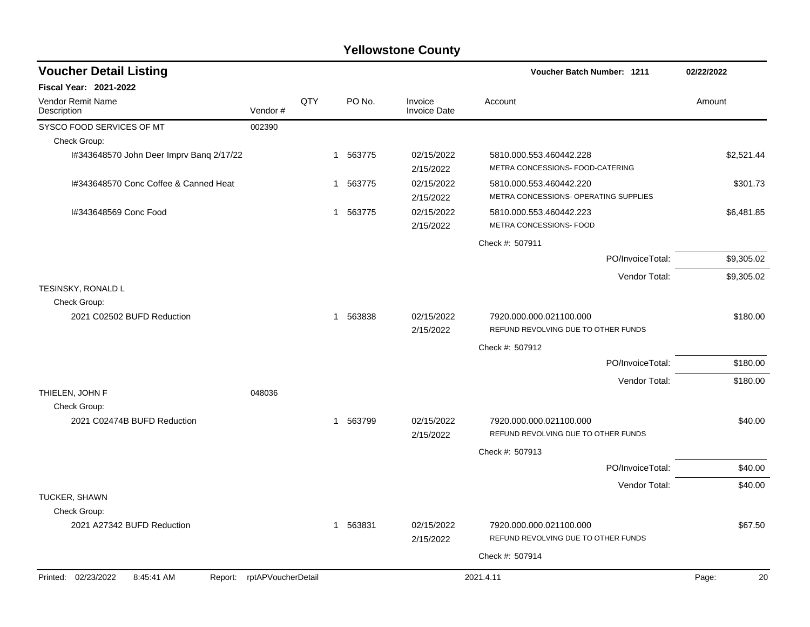| <b>Voucher Detail Listing</b>               |                            |     |          |                                | Voucher Batch Number: 1211                                       | 02/22/2022  |
|---------------------------------------------|----------------------------|-----|----------|--------------------------------|------------------------------------------------------------------|-------------|
| <b>Fiscal Year: 2021-2022</b>               |                            |     |          |                                |                                                                  |             |
| <b>Vendor Remit Name</b><br>Description     | Vendor#                    | QTY | PO No.   | Invoice<br><b>Invoice Date</b> | Account                                                          | Amount      |
| SYSCO FOOD SERVICES OF MT                   | 002390                     |     |          |                                |                                                                  |             |
| Check Group:                                |                            |     |          |                                |                                                                  |             |
| I#343648570 John Deer Imprv Bang 2/17/22    |                            |     | 1 563775 | 02/15/2022<br>2/15/2022        | 5810.000.553.460442.228<br>METRA CONCESSIONS- FOOD-CATERING      | \$2,521.44  |
| I#343648570 Conc Coffee & Canned Heat       |                            |     | 1 563775 | 02/15/2022<br>2/15/2022        | 5810.000.553.460442.220<br>METRA CONCESSIONS- OPERATING SUPPLIES | \$301.73    |
| I#343648569 Conc Food                       |                            |     | 1 563775 | 02/15/2022<br>2/15/2022        | 5810.000.553.460442.223<br>METRA CONCESSIONS- FOOD               | \$6,481.85  |
|                                             |                            |     |          |                                | Check #: 507911                                                  |             |
|                                             |                            |     |          |                                | PO/InvoiceTotal:                                                 | \$9,305.02  |
|                                             |                            |     |          |                                | Vendor Total:                                                    | \$9,305.02  |
| TESINSKY, RONALD L<br>Check Group:          |                            |     |          |                                |                                                                  |             |
| 2021 C02502 BUFD Reduction                  |                            |     | 1 563838 | 02/15/2022<br>2/15/2022        | 7920.000.000.021100.000<br>REFUND REVOLVING DUE TO OTHER FUNDS   | \$180.00    |
|                                             |                            |     |          |                                | Check #: 507912                                                  |             |
|                                             |                            |     |          |                                | PO/InvoiceTotal:                                                 | \$180.00    |
|                                             |                            |     |          |                                | Vendor Total:                                                    | \$180.00    |
| THIELEN, JOHN F                             | 048036                     |     |          |                                |                                                                  |             |
| Check Group:<br>2021 C02474B BUFD Reduction |                            |     | 1 563799 | 02/15/2022<br>2/15/2022        | 7920.000.000.021100.000<br>REFUND REVOLVING DUE TO OTHER FUNDS   | \$40.00     |
|                                             |                            |     |          |                                | Check #: 507913                                                  |             |
|                                             |                            |     |          |                                | PO/InvoiceTotal:                                                 | \$40.00     |
|                                             |                            |     |          |                                | Vendor Total:                                                    | \$40.00     |
| <b>TUCKER, SHAWN</b><br>Check Group:        |                            |     |          |                                |                                                                  |             |
| 2021 A27342 BUFD Reduction                  |                            |     | 1 563831 | 02/15/2022<br>2/15/2022        | 7920.000.000.021100.000<br>REFUND REVOLVING DUE TO OTHER FUNDS   | \$67.50     |
|                                             |                            |     |          |                                | Check #: 507914                                                  |             |
| Printed: 02/23/2022<br>8:45:41 AM           | Report: rptAPVoucherDetail |     |          |                                | 2021.4.11                                                        | 20<br>Page: |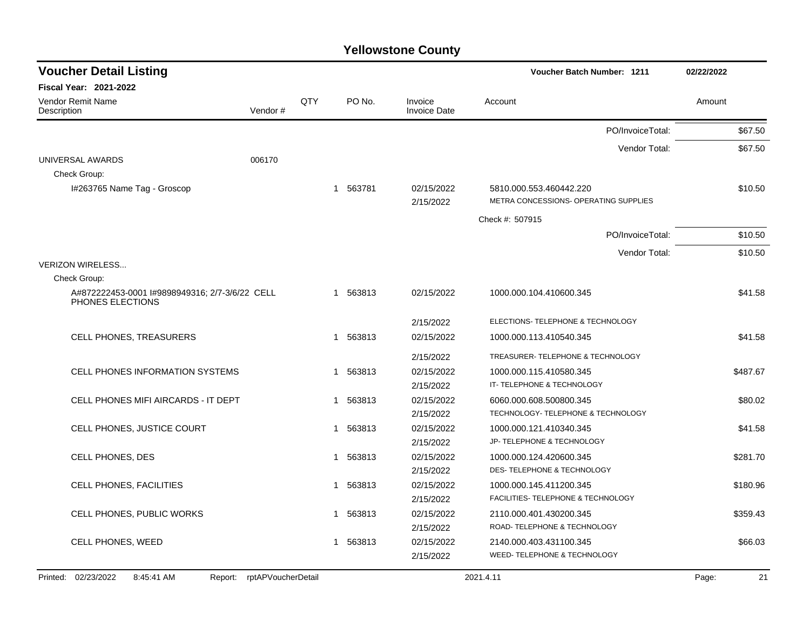| <b>Voucher Detail Listing</b>                                      |                               |     |                        |                         | Voucher Batch Number: 1211                                       | 02/22/2022 |          |
|--------------------------------------------------------------------|-------------------------------|-----|------------------------|-------------------------|------------------------------------------------------------------|------------|----------|
| <b>Fiscal Year: 2021-2022</b>                                      |                               |     |                        |                         |                                                                  |            |          |
| <b>Vendor Remit Name</b><br>Description                            | Vendor#                       | QTY | PO No.                 | Invoice<br>Invoice Date | Account                                                          | Amount     |          |
|                                                                    |                               |     |                        |                         | PO/InvoiceTotal:                                                 |            | \$67.50  |
|                                                                    |                               |     |                        |                         | Vendor Total:                                                    |            | \$67.50  |
| UNIVERSAL AWARDS                                                   | 006170                        |     |                        |                         |                                                                  |            |          |
| Check Group:                                                       |                               |     |                        |                         |                                                                  |            |          |
| I#263765 Name Tag - Groscop                                        |                               |     | 563781<br>1            | 02/15/2022<br>2/15/2022 | 5810.000.553.460442.220<br>METRA CONCESSIONS- OPERATING SUPPLIES |            | \$10.50  |
|                                                                    |                               |     |                        |                         | Check #: 507915                                                  |            |          |
|                                                                    |                               |     |                        |                         | PO/InvoiceTotal:                                                 |            | \$10.50  |
|                                                                    |                               |     |                        |                         | Vendor Total:                                                    |            | \$10.50  |
| <b>VERIZON WIRELESS</b>                                            |                               |     |                        |                         |                                                                  |            |          |
| Check Group:                                                       |                               |     |                        |                         |                                                                  |            |          |
| A#872222453-0001 I#9898949316; 2/7-3/6/22 CELL<br>PHONES ELECTIONS |                               |     | 1 563813               | 02/15/2022              | 1000.000.104.410600.345                                          |            | \$41.58  |
|                                                                    |                               |     |                        | 2/15/2022               | ELECTIONS- TELEPHONE & TECHNOLOGY                                |            |          |
| <b>CELL PHONES, TREASURERS</b>                                     |                               |     | 563813<br>1            | 02/15/2022              | 1000.000.113.410540.345                                          |            | \$41.58  |
|                                                                    |                               |     |                        | 2/15/2022               | TREASURER- TELEPHONE & TECHNOLOGY                                |            |          |
| <b>CELL PHONES INFORMATION SYSTEMS</b>                             |                               |     | 563813<br>1            | 02/15/2022              | 1000.000.115.410580.345                                          |            | \$487.67 |
|                                                                    |                               |     |                        | 2/15/2022               | IT- TELEPHONE & TECHNOLOGY                                       |            |          |
| CELL PHONES MIFI AIRCARDS - IT DEPT                                |                               |     | 563813<br>$\mathbf{1}$ | 02/15/2022              | 6060.000.608.500800.345                                          |            | \$80.02  |
|                                                                    |                               |     |                        | 2/15/2022               | TECHNOLOGY- TELEPHONE & TECHNOLOGY                               |            |          |
| CELL PHONES, JUSTICE COURT                                         |                               |     | 563813<br>1            | 02/15/2022              | 1000.000.121.410340.345                                          |            | \$41.58  |
|                                                                    |                               |     |                        | 2/15/2022               | JP- TELEPHONE & TECHNOLOGY                                       |            |          |
| CELL PHONES, DES                                                   |                               |     | 563813<br>1            | 02/15/2022              | 1000.000.124.420600.345                                          |            | \$281.70 |
|                                                                    |                               |     |                        | 2/15/2022               | DES- TELEPHONE & TECHNOLOGY                                      |            |          |
| CELL PHONES, FACILITIES                                            |                               |     | 563813<br>1            | 02/15/2022              | 1000.000.145.411200.345                                          |            | \$180.96 |
|                                                                    |                               |     |                        | 2/15/2022               | FACILITIES- TELEPHONE & TECHNOLOGY                               |            |          |
| CELL PHONES, PUBLIC WORKS                                          |                               |     | 563813<br>1            | 02/15/2022              | 2110.000.401.430200.345<br>ROAD- TELEPHONE & TECHNOLOGY          |            | \$359.43 |
|                                                                    |                               |     |                        | 2/15/2022               |                                                                  |            |          |
| <b>CELL PHONES, WEED</b>                                           |                               |     | 563813<br>1            | 02/15/2022              | 2140.000.403.431100.345<br>WEED- TELEPHONE & TECHNOLOGY          |            | \$66.03  |
|                                                                    |                               |     |                        | 2/15/2022               |                                                                  |            |          |
| 02/23/2022<br>Printed:<br>8:45:41 AM                               | Report:<br>rptAPVoucherDetail |     |                        |                         | 2021.4.11                                                        | Page:      | 21       |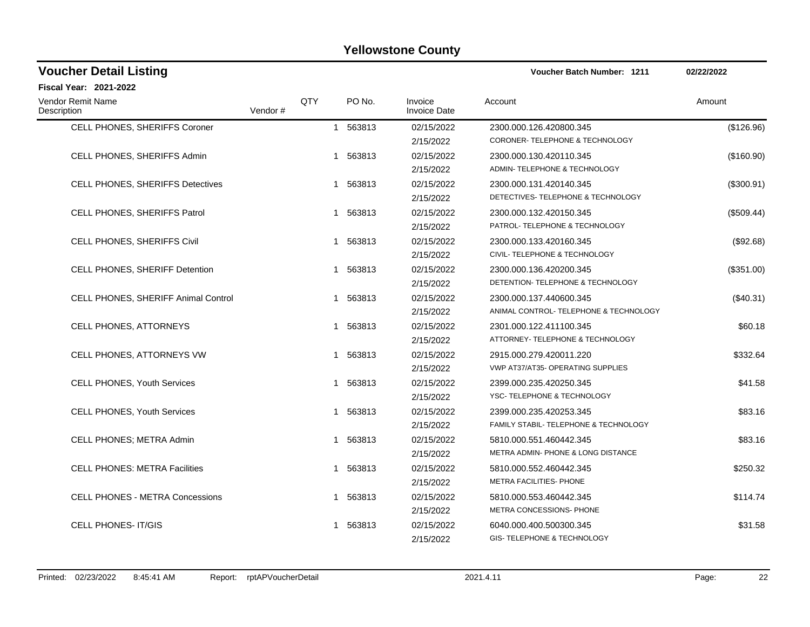| <b>Voucher Detail Listing</b>           |         |     |                        |                                | <b>Voucher Batch Number: 1211</b>                                        | 02/22/2022   |
|-----------------------------------------|---------|-----|------------------------|--------------------------------|--------------------------------------------------------------------------|--------------|
| <b>Fiscal Year: 2021-2022</b>           |         |     |                        |                                |                                                                          |              |
| <b>Vendor Remit Name</b><br>Description | Vendor# | QTY | PO No.                 | Invoice<br><b>Invoice Date</b> | Account                                                                  | Amount       |
| CELL PHONES, SHERIFFS Coroner           |         |     | 1 563813               | 02/15/2022<br>2/15/2022        | 2300.000.126.420800.345<br>CORONER-TELEPHONE & TECHNOLOGY                | (\$126.96)   |
| CELL PHONES, SHERIFFS Admin             |         |     | 563813<br>1            | 02/15/2022<br>2/15/2022        | 2300.000.130.420110.345<br>ADMIN- TELEPHONE & TECHNOLOGY                 | (\$160.90)   |
| <b>CELL PHONES, SHERIFFS Detectives</b> |         |     | 1 563813               | 02/15/2022<br>2/15/2022        | 2300.000.131.420140.345<br>DETECTIVES-TELEPHONE & TECHNOLOGY             | $(\$300.91)$ |
| CELL PHONES, SHERIFFS Patrol            |         |     | 1 563813               | 02/15/2022<br>2/15/2022        | 2300.000.132.420150.345<br>PATROL- TELEPHONE & TECHNOLOGY                | $(\$509.44)$ |
| CELL PHONES, SHERIFFS Civil             |         |     | 1 563813               | 02/15/2022<br>2/15/2022        | 2300.000.133.420160.345<br>CIVIL- TELEPHONE & TECHNOLOGY                 | (\$92.68)    |
| CELL PHONES, SHERIFF Detention          |         |     | 1 563813               | 02/15/2022<br>2/15/2022        | 2300.000.136.420200.345<br>DETENTION- TELEPHONE & TECHNOLOGY             | (\$351.00)   |
| CELL PHONES, SHERIFF Animal Control     |         |     | 1 563813               | 02/15/2022<br>2/15/2022        | 2300.000.137.440600.345<br>ANIMAL CONTROL- TELEPHONE & TECHNOLOGY        | (\$40.31)    |
| CELL PHONES, ATTORNEYS                  |         |     | 1 563813               | 02/15/2022<br>2/15/2022        | 2301.000.122.411100.345<br>ATTORNEY- TELEPHONE & TECHNOLOGY              | \$60.18      |
| CELL PHONES, ATTORNEYS VW               |         |     | 1 563813               | 02/15/2022<br>2/15/2022        | 2915.000.279.420011.220<br>VWP AT37/AT35- OPERATING SUPPLIES             | \$332.64     |
| <b>CELL PHONES, Youth Services</b>      |         |     | 1 563813               | 02/15/2022<br>2/15/2022        | 2399.000.235.420250.345<br>YSC-TELEPHONE & TECHNOLOGY                    | \$41.58      |
| CELL PHONES, Youth Services             |         |     | 1 563813               | 02/15/2022<br>2/15/2022        | 2399.000.235.420253.345<br>FAMILY STABIL- TELEPHONE & TECHNOLOGY         | \$83.16      |
| CELL PHONES; METRA Admin                |         |     | 563813<br>$\mathbf{1}$ | 02/15/2022<br>2/15/2022        | 5810.000.551.460442.345<br><b>METRA ADMIN- PHONE &amp; LONG DISTANCE</b> | \$83.16      |
| <b>CELL PHONES: METRA Facilities</b>    |         | 1   | 563813                 | 02/15/2022<br>2/15/2022        | 5810.000.552.460442.345<br>METRA FACILITIES- PHONE                       | \$250.32     |
| <b>CELL PHONES - METRA Concessions</b>  |         |     | 1 563813               | 02/15/2022<br>2/15/2022        | 5810.000.553.460442.345<br>METRA CONCESSIONS- PHONE                      | \$114.74     |
| <b>CELL PHONES-IT/GIS</b>               |         |     | 563813                 | 02/15/2022<br>2/15/2022        | 6040.000.400.500300.345<br>GIS-TELEPHONE & TECHNOLOGY                    | \$31.58      |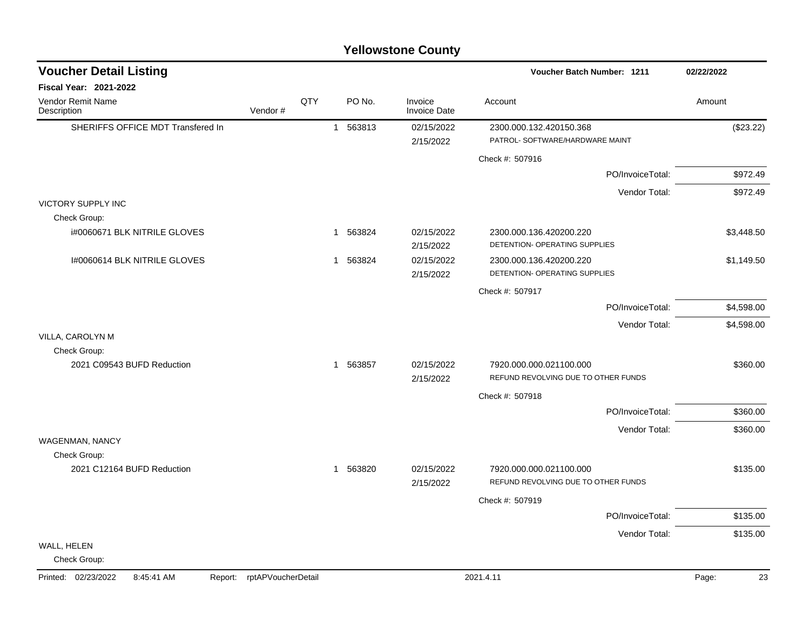|                                   |                            |     |             | <b>Yellowstone County</b>      |                                                                |             |  |
|-----------------------------------|----------------------------|-----|-------------|--------------------------------|----------------------------------------------------------------|-------------|--|
| <b>Voucher Detail Listing</b>     |                            |     |             |                                | <b>Voucher Batch Number: 1211</b>                              | 02/22/2022  |  |
| <b>Fiscal Year: 2021-2022</b>     |                            |     |             |                                |                                                                |             |  |
| Vendor Remit Name<br>Description  | Vendor#                    | QTY | PO No.      | Invoice<br><b>Invoice Date</b> | Account                                                        | Amount      |  |
| SHERIFFS OFFICE MDT Transfered In |                            |     | 1 563813    | 02/15/2022                     | 2300.000.132.420150.368                                        | (\$23.22)   |  |
|                                   |                            |     |             | 2/15/2022                      | PATROL- SOFTWARE/HARDWARE MAINT                                |             |  |
|                                   |                            |     |             |                                | Check #: 507916                                                |             |  |
|                                   |                            |     |             |                                | PO/InvoiceTotal:                                               | \$972.49    |  |
|                                   |                            |     |             |                                | Vendor Total:                                                  | \$972.49    |  |
| <b>VICTORY SUPPLY INC</b>         |                            |     |             |                                |                                                                |             |  |
| Check Group:                      |                            |     |             |                                |                                                                |             |  |
| i#0060671 BLK NITRILE GLOVES      |                            |     | 563824<br>1 | 02/15/2022<br>2/15/2022        | 2300.000.136.420200.220<br>DETENTION- OPERATING SUPPLIES       | \$3,448.50  |  |
| 1#0060614 BLK NITRILE GLOVES      |                            |     | 563824<br>1 | 02/15/2022                     | 2300.000.136.420200.220                                        | \$1,149.50  |  |
|                                   |                            |     |             | 2/15/2022                      | <b>DETENTION- OPERATING SUPPLIES</b>                           |             |  |
|                                   |                            |     |             |                                | Check #: 507917                                                |             |  |
|                                   |                            |     |             |                                | PO/InvoiceTotal:                                               | \$4,598.00  |  |
|                                   |                            |     |             |                                | Vendor Total:                                                  | \$4,598.00  |  |
| VILLA, CAROLYN M                  |                            |     |             |                                |                                                                |             |  |
| Check Group:                      |                            |     |             |                                |                                                                |             |  |
| 2021 C09543 BUFD Reduction        |                            |     | 1 563857    | 02/15/2022<br>2/15/2022        | 7920.000.000.021100.000<br>REFUND REVOLVING DUE TO OTHER FUNDS | \$360.00    |  |
|                                   |                            |     |             |                                | Check #: 507918                                                |             |  |
|                                   |                            |     |             |                                | PO/InvoiceTotal:                                               | \$360.00    |  |
|                                   |                            |     |             |                                | Vendor Total:                                                  | \$360.00    |  |
| <b>WAGENMAN, NANCY</b>            |                            |     |             |                                |                                                                |             |  |
| Check Group:                      |                            |     |             |                                |                                                                |             |  |
| 2021 C12164 BUFD Reduction        |                            |     | 1 563820    | 02/15/2022<br>2/15/2022        | 7920.000.000.021100.000<br>REFUND REVOLVING DUE TO OTHER FUNDS | \$135.00    |  |
|                                   |                            |     |             |                                | Check #: 507919                                                |             |  |
|                                   |                            |     |             |                                | PO/InvoiceTotal:                                               | \$135.00    |  |
|                                   |                            |     |             |                                | Vendor Total:                                                  | \$135.00    |  |
| WALL, HELEN<br>Check Group:       |                            |     |             |                                |                                                                |             |  |
| Printed: 02/23/2022<br>8:45:41 AM | Report: rptAPVoucherDetail |     |             |                                | 2021.4.11                                                      | Page:<br>23 |  |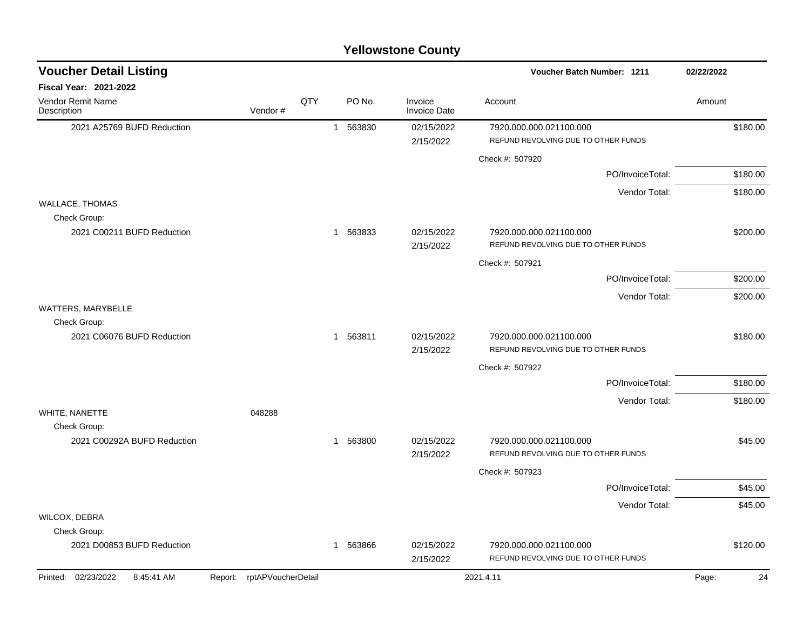| <b>Yellowstone County</b> |  |
|---------------------------|--|
|---------------------------|--|

| QTY<br>PO No.<br>Invoice<br>Account<br>Amount<br>Vendor#<br><b>Invoice Date</b><br>2021 A25769 BUFD Reduction<br>1 563830<br>02/15/2022<br>7920.000.000.021100.000<br>\$180.00<br>REFUND REVOLVING DUE TO OTHER FUNDS<br>2/15/2022<br>Check #: 507920<br>PO/InvoiceTotal:<br>\$180.00<br>\$180.00<br>Vendor Total:<br>Check Group:<br>2021 C00211 BUFD Reduction<br>1 563833<br>02/15/2022<br>7920.000.000.021100.000<br>\$200.00<br>REFUND REVOLVING DUE TO OTHER FUNDS<br>2/15/2022<br>Check #: 507921<br>PO/InvoiceTotal:<br>\$200.00<br>Vendor Total:<br>\$200.00<br>Check Group:<br>2021 C06076 BUFD Reduction<br>1 563811<br>02/15/2022<br>7920.000.000.021100.000<br>\$180.00<br>REFUND REVOLVING DUE TO OTHER FUNDS<br>2/15/2022<br>Check #: 507922<br>\$180.00<br>PO/InvoiceTotal:<br>Vendor Total:<br>\$180.00<br>048288<br>Check Group:<br>2021 C00292A BUFD Reduction<br>563800<br>02/15/2022<br>\$45.00<br>7920.000.000.021100.000<br>1<br>REFUND REVOLVING DUE TO OTHER FUNDS<br>2/15/2022<br>Check #: 507923<br>PO/InvoiceTotal:<br>\$45.00<br>Vendor Total:<br>\$45.00<br>WILCOX, DEBRA<br>Check Group:<br>\$120.00<br>2021 D00853 BUFD Reduction<br>563866<br>02/15/2022<br>7920.000.000.021100.000<br>1<br>REFUND REVOLVING DUE TO OTHER FUNDS<br>2/15/2022<br>Report: rptAPVoucherDetail | <b>Voucher Detail Listing</b>     |  |  | <b>Voucher Batch Number: 1211</b> | 02/22/2022  |  |
|-------------------------------------------------------------------------------------------------------------------------------------------------------------------------------------------------------------------------------------------------------------------------------------------------------------------------------------------------------------------------------------------------------------------------------------------------------------------------------------------------------------------------------------------------------------------------------------------------------------------------------------------------------------------------------------------------------------------------------------------------------------------------------------------------------------------------------------------------------------------------------------------------------------------------------------------------------------------------------------------------------------------------------------------------------------------------------------------------------------------------------------------------------------------------------------------------------------------------------------------------------------------------------------------------------------|-----------------------------------|--|--|-----------------------------------|-------------|--|
|                                                                                                                                                                                                                                                                                                                                                                                                                                                                                                                                                                                                                                                                                                                                                                                                                                                                                                                                                                                                                                                                                                                                                                                                                                                                                                             | Fiscal Year: 2021-2022            |  |  |                                   |             |  |
|                                                                                                                                                                                                                                                                                                                                                                                                                                                                                                                                                                                                                                                                                                                                                                                                                                                                                                                                                                                                                                                                                                                                                                                                                                                                                                             | Vendor Remit Name<br>Description  |  |  |                                   |             |  |
|                                                                                                                                                                                                                                                                                                                                                                                                                                                                                                                                                                                                                                                                                                                                                                                                                                                                                                                                                                                                                                                                                                                                                                                                                                                                                                             |                                   |  |  |                                   |             |  |
|                                                                                                                                                                                                                                                                                                                                                                                                                                                                                                                                                                                                                                                                                                                                                                                                                                                                                                                                                                                                                                                                                                                                                                                                                                                                                                             |                                   |  |  |                                   |             |  |
|                                                                                                                                                                                                                                                                                                                                                                                                                                                                                                                                                                                                                                                                                                                                                                                                                                                                                                                                                                                                                                                                                                                                                                                                                                                                                                             |                                   |  |  |                                   |             |  |
|                                                                                                                                                                                                                                                                                                                                                                                                                                                                                                                                                                                                                                                                                                                                                                                                                                                                                                                                                                                                                                                                                                                                                                                                                                                                                                             |                                   |  |  |                                   |             |  |
|                                                                                                                                                                                                                                                                                                                                                                                                                                                                                                                                                                                                                                                                                                                                                                                                                                                                                                                                                                                                                                                                                                                                                                                                                                                                                                             | <b>WALLACE, THOMAS</b>            |  |  |                                   |             |  |
|                                                                                                                                                                                                                                                                                                                                                                                                                                                                                                                                                                                                                                                                                                                                                                                                                                                                                                                                                                                                                                                                                                                                                                                                                                                                                                             |                                   |  |  |                                   |             |  |
|                                                                                                                                                                                                                                                                                                                                                                                                                                                                                                                                                                                                                                                                                                                                                                                                                                                                                                                                                                                                                                                                                                                                                                                                                                                                                                             |                                   |  |  |                                   |             |  |
|                                                                                                                                                                                                                                                                                                                                                                                                                                                                                                                                                                                                                                                                                                                                                                                                                                                                                                                                                                                                                                                                                                                                                                                                                                                                                                             |                                   |  |  |                                   |             |  |
|                                                                                                                                                                                                                                                                                                                                                                                                                                                                                                                                                                                                                                                                                                                                                                                                                                                                                                                                                                                                                                                                                                                                                                                                                                                                                                             |                                   |  |  |                                   |             |  |
|                                                                                                                                                                                                                                                                                                                                                                                                                                                                                                                                                                                                                                                                                                                                                                                                                                                                                                                                                                                                                                                                                                                                                                                                                                                                                                             | WATTERS, MARYBELLE                |  |  |                                   |             |  |
|                                                                                                                                                                                                                                                                                                                                                                                                                                                                                                                                                                                                                                                                                                                                                                                                                                                                                                                                                                                                                                                                                                                                                                                                                                                                                                             |                                   |  |  |                                   |             |  |
|                                                                                                                                                                                                                                                                                                                                                                                                                                                                                                                                                                                                                                                                                                                                                                                                                                                                                                                                                                                                                                                                                                                                                                                                                                                                                                             |                                   |  |  |                                   |             |  |
|                                                                                                                                                                                                                                                                                                                                                                                                                                                                                                                                                                                                                                                                                                                                                                                                                                                                                                                                                                                                                                                                                                                                                                                                                                                                                                             |                                   |  |  |                                   |             |  |
|                                                                                                                                                                                                                                                                                                                                                                                                                                                                                                                                                                                                                                                                                                                                                                                                                                                                                                                                                                                                                                                                                                                                                                                                                                                                                                             |                                   |  |  |                                   |             |  |
|                                                                                                                                                                                                                                                                                                                                                                                                                                                                                                                                                                                                                                                                                                                                                                                                                                                                                                                                                                                                                                                                                                                                                                                                                                                                                                             | WHITE, NANETTE                    |  |  |                                   |             |  |
|                                                                                                                                                                                                                                                                                                                                                                                                                                                                                                                                                                                                                                                                                                                                                                                                                                                                                                                                                                                                                                                                                                                                                                                                                                                                                                             |                                   |  |  |                                   |             |  |
|                                                                                                                                                                                                                                                                                                                                                                                                                                                                                                                                                                                                                                                                                                                                                                                                                                                                                                                                                                                                                                                                                                                                                                                                                                                                                                             |                                   |  |  |                                   |             |  |
|                                                                                                                                                                                                                                                                                                                                                                                                                                                                                                                                                                                                                                                                                                                                                                                                                                                                                                                                                                                                                                                                                                                                                                                                                                                                                                             |                                   |  |  |                                   |             |  |
|                                                                                                                                                                                                                                                                                                                                                                                                                                                                                                                                                                                                                                                                                                                                                                                                                                                                                                                                                                                                                                                                                                                                                                                                                                                                                                             |                                   |  |  |                                   |             |  |
|                                                                                                                                                                                                                                                                                                                                                                                                                                                                                                                                                                                                                                                                                                                                                                                                                                                                                                                                                                                                                                                                                                                                                                                                                                                                                                             |                                   |  |  |                                   |             |  |
|                                                                                                                                                                                                                                                                                                                                                                                                                                                                                                                                                                                                                                                                                                                                                                                                                                                                                                                                                                                                                                                                                                                                                                                                                                                                                                             |                                   |  |  |                                   |             |  |
|                                                                                                                                                                                                                                                                                                                                                                                                                                                                                                                                                                                                                                                                                                                                                                                                                                                                                                                                                                                                                                                                                                                                                                                                                                                                                                             |                                   |  |  |                                   |             |  |
|                                                                                                                                                                                                                                                                                                                                                                                                                                                                                                                                                                                                                                                                                                                                                                                                                                                                                                                                                                                                                                                                                                                                                                                                                                                                                                             | Printed: 02/23/2022<br>8:45:41 AM |  |  | 2021.4.11                         | 24<br>Page: |  |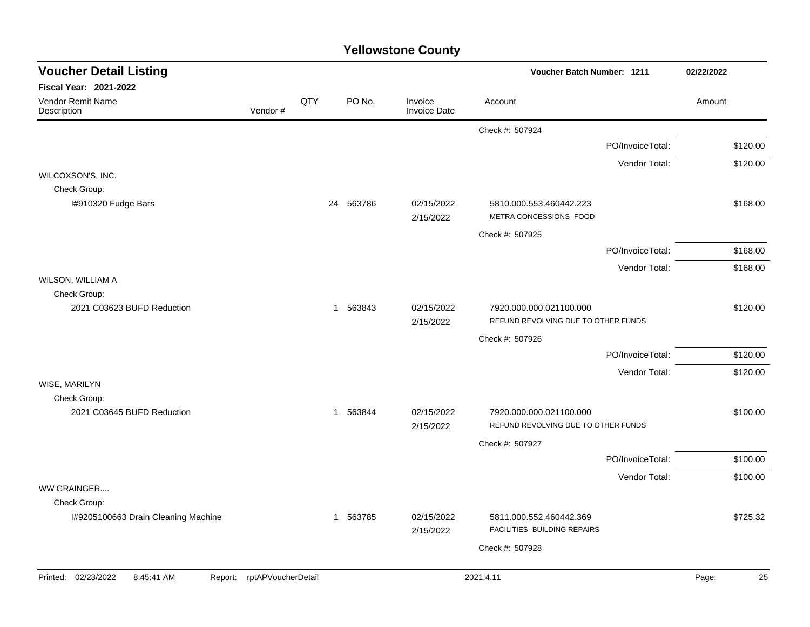| <b>Voucher Detail Listing</b>                       |                            |     |          |        |                                | Voucher Batch Number: 1211                                     |                  | 02/22/2022  |  |
|-----------------------------------------------------|----------------------------|-----|----------|--------|--------------------------------|----------------------------------------------------------------|------------------|-------------|--|
| Fiscal Year: 2021-2022                              |                            |     |          |        |                                |                                                                |                  |             |  |
| Vendor Remit Name<br>Description                    | Vendor#                    | QTY |          | PO No. | Invoice<br><b>Invoice Date</b> | Account                                                        |                  | Amount      |  |
|                                                     |                            |     |          |        |                                | Check #: 507924                                                |                  |             |  |
|                                                     |                            |     |          |        |                                |                                                                | PO/InvoiceTotal: | \$120.00    |  |
|                                                     |                            |     |          |        |                                |                                                                | Vendor Total:    | \$120.00    |  |
| WILCOXSON'S, INC.                                   |                            |     |          |        |                                |                                                                |                  |             |  |
| Check Group:<br>I#910320 Fudge Bars                 |                            |     | 24       | 563786 | 02/15/2022<br>2/15/2022        | 5810.000.553.460442.223<br>METRA CONCESSIONS- FOOD             |                  | \$168.00    |  |
|                                                     |                            |     |          |        |                                | Check #: 507925                                                |                  |             |  |
|                                                     |                            |     |          |        |                                |                                                                | PO/InvoiceTotal: | \$168.00    |  |
|                                                     |                            |     |          |        |                                |                                                                | Vendor Total:    | \$168.00    |  |
| WILSON, WILLIAM A                                   |                            |     |          |        |                                |                                                                |                  |             |  |
| Check Group:<br>2021 C03623 BUFD Reduction          |                            |     | 1 563843 |        | 02/15/2022                     | 7920.000.000.021100.000                                        |                  | \$120.00    |  |
|                                                     |                            |     |          |        | 2/15/2022                      | REFUND REVOLVING DUE TO OTHER FUNDS                            |                  |             |  |
|                                                     |                            |     |          |        |                                | Check #: 507926                                                |                  |             |  |
|                                                     |                            |     |          |        |                                |                                                                | PO/InvoiceTotal: | \$120.00    |  |
|                                                     |                            |     |          |        |                                |                                                                | Vendor Total:    | \$120.00    |  |
| WISE, MARILYN                                       |                            |     |          |        |                                |                                                                |                  |             |  |
| Check Group:                                        |                            |     |          |        |                                |                                                                |                  |             |  |
| 2021 C03645 BUFD Reduction                          |                            |     | 1 563844 |        | 02/15/2022<br>2/15/2022        | 7920.000.000.021100.000<br>REFUND REVOLVING DUE TO OTHER FUNDS |                  | \$100.00    |  |
|                                                     |                            |     |          |        |                                | Check #: 507927                                                |                  |             |  |
|                                                     |                            |     |          |        |                                |                                                                | PO/InvoiceTotal: | \$100.00    |  |
|                                                     |                            |     |          |        |                                |                                                                | Vendor Total:    | \$100.00    |  |
| WW GRAINGER                                         |                            |     |          |        |                                |                                                                |                  |             |  |
| Check Group:<br>I#9205100663 Drain Cleaning Machine |                            |     | 1 563785 |        | 02/15/2022                     | 5811.000.552.460442.369                                        |                  | \$725.32    |  |
|                                                     |                            |     |          |        | 2/15/2022                      | FACILITIES- BUILDING REPAIRS                                   |                  |             |  |
|                                                     |                            |     |          |        |                                | Check #: 507928                                                |                  |             |  |
|                                                     |                            |     |          |        |                                |                                                                |                  |             |  |
| Printed: 02/23/2022<br>8:45:41 AM                   | Report: rptAPVoucherDetail |     |          |        |                                | 2021.4.11                                                      |                  | 25<br>Page: |  |